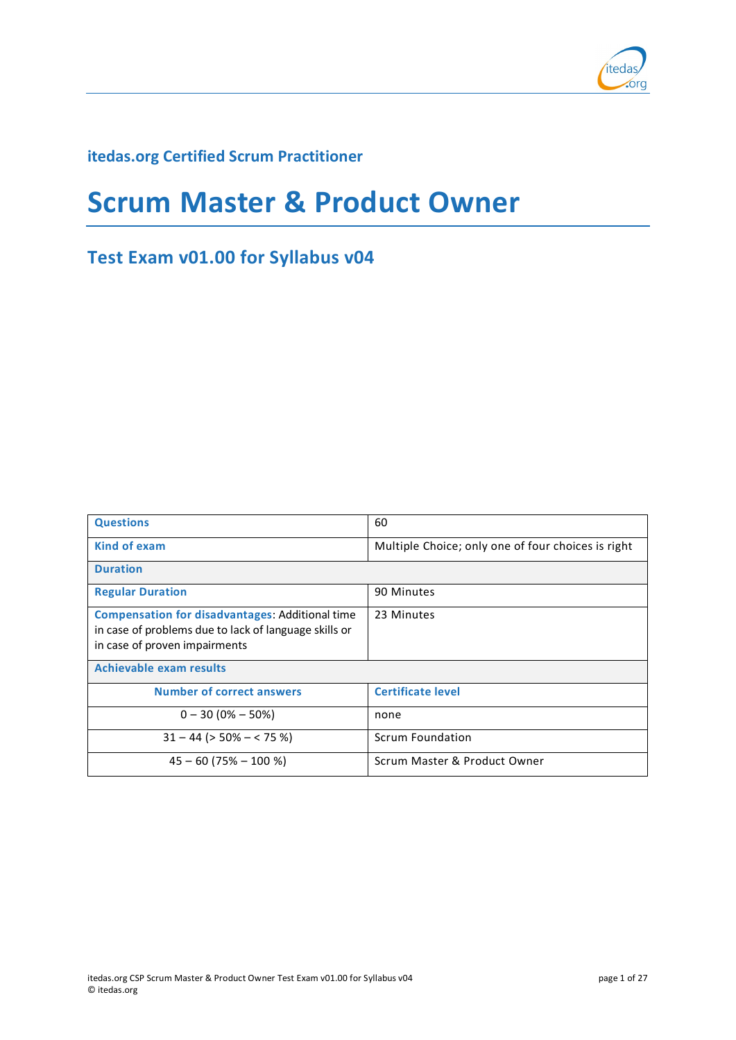

**itedas.org Certified Scrum Practitioner**

# **Scrum Master & Product Owner**

## **Test Exam v01.00 for Syllabus v04**

| <b>Questions</b>                                                                                                                                 | 60                                                 |  |  |  |
|--------------------------------------------------------------------------------------------------------------------------------------------------|----------------------------------------------------|--|--|--|
| Kind of exam                                                                                                                                     | Multiple Choice; only one of four choices is right |  |  |  |
| <b>Duration</b>                                                                                                                                  |                                                    |  |  |  |
| <b>Regular Duration</b>                                                                                                                          | 90 Minutes                                         |  |  |  |
| <b>Compensation for disadvantages: Additional time</b><br>in case of problems due to lack of language skills or<br>in case of proven impairments | 23 Minutes                                         |  |  |  |
| Achievable exam results                                                                                                                          |                                                    |  |  |  |
| <b>Number of correct answers</b>                                                                                                                 | <b>Certificate level</b>                           |  |  |  |
| $0 - 30 (0\% - 50\%)$                                                                                                                            | none                                               |  |  |  |
| $31 - 44$ (> 50% $- < 75$ %)                                                                                                                     | Scrum Foundation                                   |  |  |  |
| $45 - 60(75\% - 100\%)$                                                                                                                          | Scrum Master & Product Owner                       |  |  |  |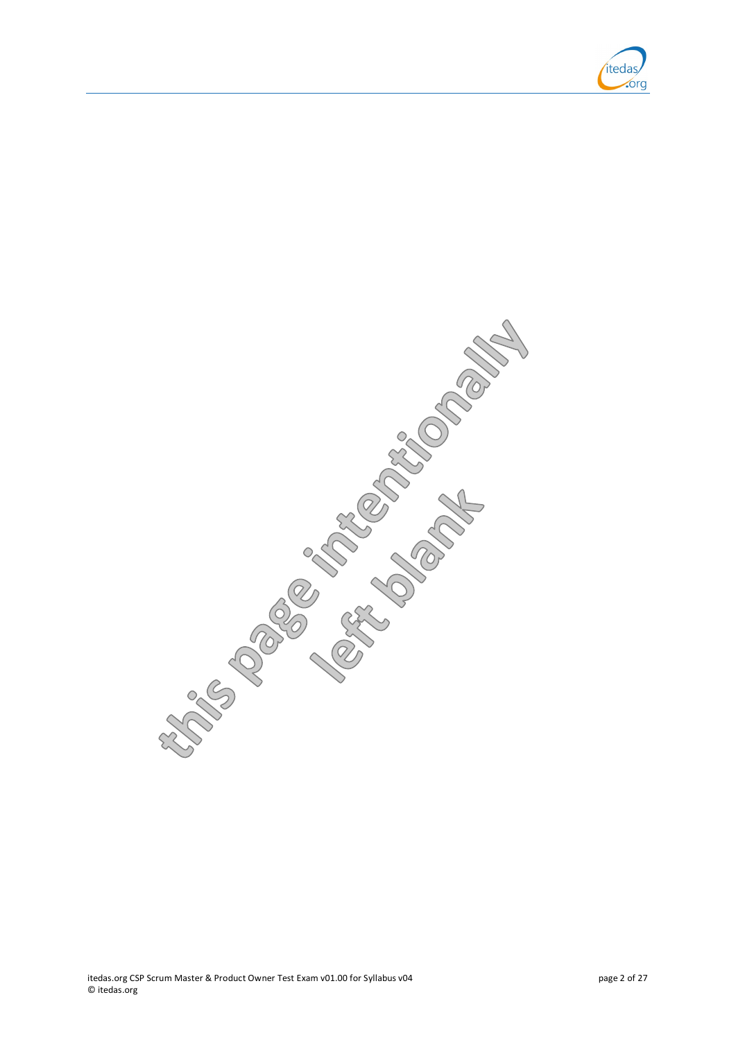

this age is the case of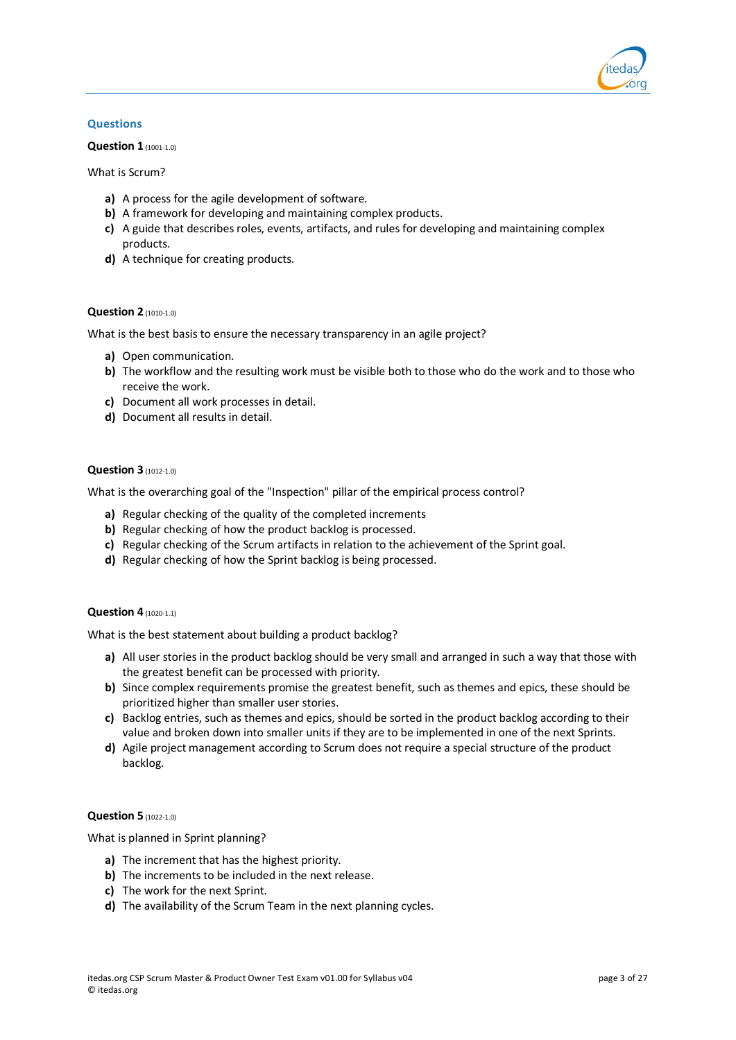

## **Questions**

**Question 1** (1001-1.0)

What is Scrum?

- **a)** A process for the agile development of software.
- **b)** A framework for developing and maintaining complex products.
- **c)** A guide that describes roles, events, artifacts, and rules for developing and maintaining complex products.
- **d)** A technique for creating products.

## **Question 2** (1010-1.0)

What is the best basis to ensure the necessary transparency in an agile project?

- **a)** Open communication.
- **b)** The workflow and the resulting work must be visible both to those who do the work and to those who receive the work.
- **c)** Document all work processes in detail.
- **d)** Document all results in detail.

## **Question 3** (1012-1.0)

What is the overarching goal of the "Inspection" pillar of the empirical process control?

- **a)** Regular checking of the quality of the completed increments
- **b)** Regular checking of how the product backlog is processed.
- **c)** Regular checking of the Scrum artifacts in relation to the achievement of the Sprint goal.
- **d)** Regular checking of how the Sprint backlog is being processed.

## **Question 4** (1020-1.1)

What is the best statement about building a product backlog?

- **a)** All user stories in the product backlog should be very small and arranged in such a way that those with the greatest benefit can be processed with priority.
- **b)** Since complex requirements promise the greatest benefit, such as themes and epics, these should be prioritized higher than smaller user stories.
- **c)** Backlog entries, such as themes and epics, should be sorted in the product backlog according to their value and broken down into smaller units if they are to be implemented in one of the next Sprints.
- **d)** Agile project management according to Scrum does not require a special structure of the product backlog.

## **Question 5** (1022-1.0)

What is planned in Sprint planning?

- **a)** The increment that has the highest priority.
- **b)** The increments to be included in the next release.
- **c)** The work for the next Sprint.
- **d)** The availability of the Scrum Team in the next planning cycles.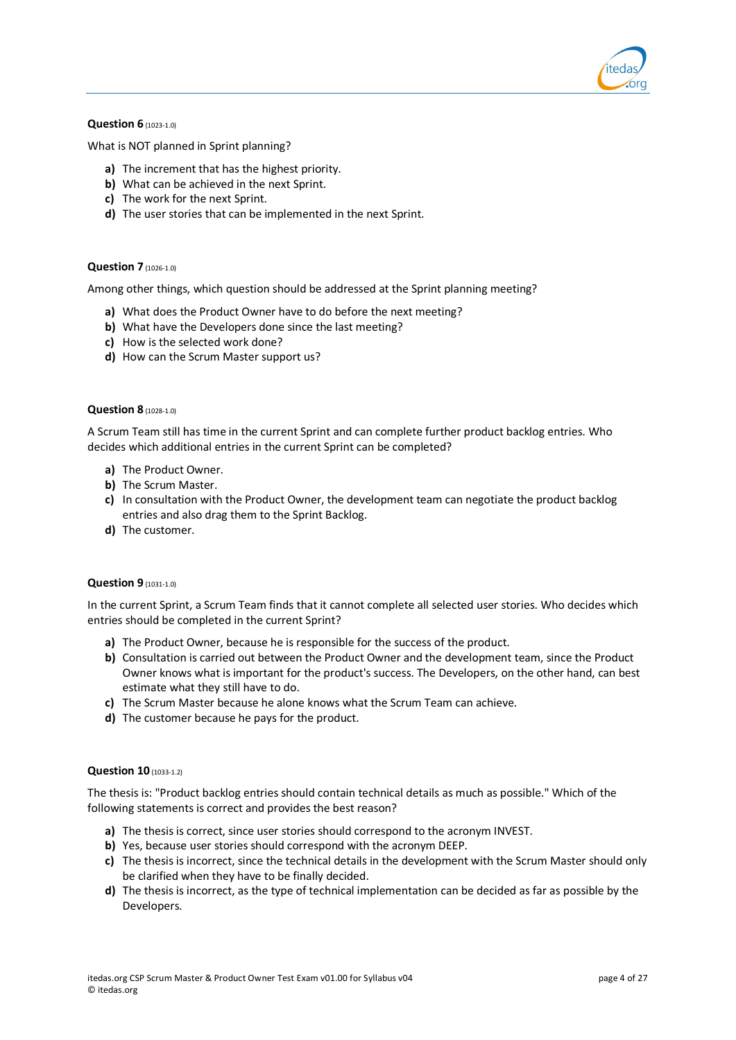

## **Question 6** (1023-1.0)

What is NOT planned in Sprint planning?

- **a)** The increment that has the highest priority.
- **b)** What can be achieved in the next Sprint.
- **c)** The work for the next Sprint.
- **d)** The user stories that can be implemented in the next Sprint.

## **Question 7** (1026-1.0)

Among other things, which question should be addressed at the Sprint planning meeting?

- **a)** What does the Product Owner have to do before the next meeting?
- **b)** What have the Developers done since the last meeting?
- **c)** How is the selected work done?
- **d)** How can the Scrum Master support us?

## **Question 8** (1028-1.0)

A Scrum Team still has time in the current Sprint and can complete further product backlog entries. Who decides which additional entries in the current Sprint can be completed?

- **a)** The Product Owner.
- **b)** The Scrum Master.
- **c)** In consultation with the Product Owner, the development team can negotiate the product backlog entries and also drag them to the Sprint Backlog.
- **d)** The customer.

## **Question 9** (1031-1.0)

In the current Sprint, a Scrum Team finds that it cannot complete all selected user stories. Who decides which entries should be completed in the current Sprint?

- **a)** The Product Owner, because he is responsible for the success of the product.
- **b)** Consultation is carried out between the Product Owner and the development team, since the Product Owner knows what is important for the product's success. The Developers, on the other hand, can best estimate what they still have to do.
- **c)** The Scrum Master because he alone knows what the Scrum Team can achieve.
- **d)** The customer because he pays for the product.

## **Question 10** (1033-1.2)

The thesis is: "Product backlog entries should contain technical details as much as possible." Which of the following statements is correct and provides the best reason?

- **a)** The thesis is correct, since user stories should correspond to the acronym INVEST.
- **b)** Yes, because user stories should correspond with the acronym DEEP.
- **c)** The thesis is incorrect, since the technical details in the development with the Scrum Master should only be clarified when they have to be finally decided.
- **d)** The thesis is incorrect, as the type of technical implementation can be decided as far as possible by the Developers.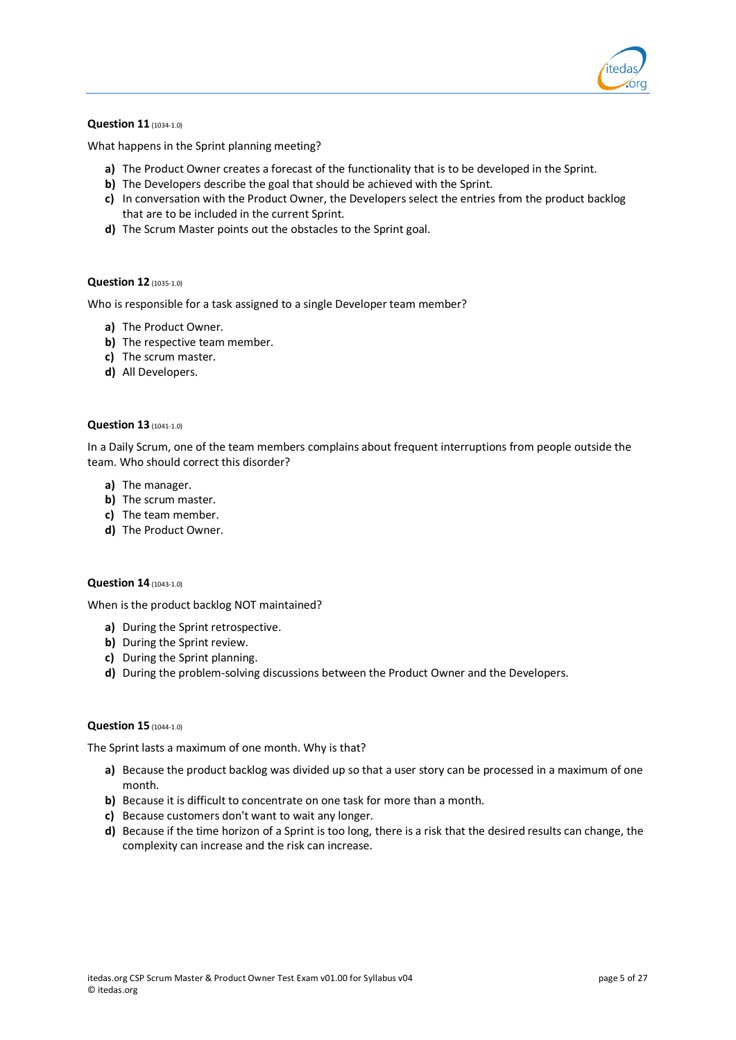

## **Question 11** (1034-1.0)

What happens in the Sprint planning meeting?

- **a)** The Product Owner creates a forecast of the functionality that is to be developed in the Sprint.
- **b)** The Developers describe the goal that should be achieved with the Sprint.
- **c)** In conversation with the Product Owner, the Developers select the entries from the product backlog that are to be included in the current Sprint.
- **d)** The Scrum Master points out the obstacles to the Sprint goal.

## **Question 12** (1035-1.0)

Who is responsible for a task assigned to a single Developer team member?

- **a)** The Product Owner.
- **b)** The respective team member.
- **c)** The scrum master.
- **d)** All Developers.

#### **Question 13** (1041-1.0)

In a Daily Scrum, one of the team members complains about frequent interruptions from people outside the team. Who should correct this disorder?

- **a)** The manager.
- **b)** The scrum master.
- **c)** The team member.
- **d)** The Product Owner.

## **Question 14** (1043-1.0)

When is the product backlog NOT maintained?

- **a)** During the Sprint retrospective.
- **b)** During the Sprint review.
- **c)** During the Sprint planning.
- **d)** During the problem-solving discussions between the Product Owner and the Developers.

## **Question 15** (1044-1.0)

The Sprint lasts a maximum of one month. Why is that?

- **a)** Because the product backlog was divided up so that a user story can be processed in a maximum of one month.
- **b)** Because it is difficult to concentrate on one task for more than a month.
- **c)** Because customers don't want to wait any longer.
- **d)** Because if the time horizon of a Sprint is too long, there is a risk that the desired results can change, the complexity can increase and the risk can increase.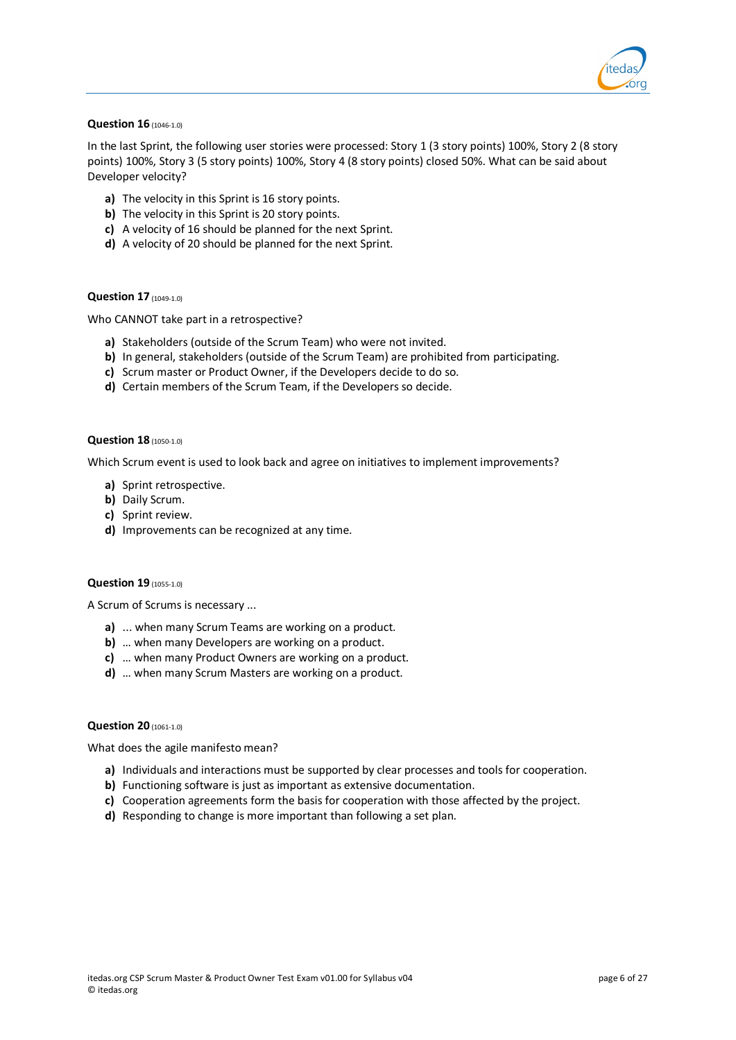

## **Question 16** (1046-1.0)

In the last Sprint, the following user stories were processed: Story 1 (3 story points) 100%, Story 2 (8 story points) 100%, Story 3 (5 story points) 100%, Story 4 (8 story points) closed 50%. What can be said about Developer velocity?

- **a)** The velocity in this Sprint is 16 story points.
- **b)** The velocity in this Sprint is 20 story points.
- **c)** A velocity of 16 should be planned for the next Sprint.
- **d)** A velocity of 20 should be planned for the next Sprint.

## **Question 17** (1049-1.0)

Who CANNOT take part in a retrospective?

- **a)** Stakeholders (outside of the Scrum Team) who were not invited.
- **b)** In general, stakeholders (outside of the Scrum Team) are prohibited from participating.
- **c)** Scrum master or Product Owner, if the Developers decide to do so.
- **d)** Certain members of the Scrum Team, if the Developers so decide.

#### **Question 18** (1050-1.0)

Which Scrum event is used to look back and agree on initiatives to implement improvements?

- **a)** Sprint retrospective.
- **b)** Daily Scrum.
- **c)** Sprint review.
- **d)** Improvements can be recognized at any time.

## **Question 19** (1055-1.0)

A Scrum of Scrums is necessary ...

- **a)** ... when many Scrum Teams are working on a product.
- **b)** … when many Developers are working on a product.
- **c)** … when many Product Owners are working on a product.
- **d)** … when many Scrum Masters are working on a product.

## **Question 20** (1061-1.0)

What does the agile manifesto mean?

- **a)** Individuals and interactions must be supported by clear processes and tools for cooperation.
- **b)** Functioning software is just as important as extensive documentation.
- **c)** Cooperation agreements form the basis for cooperation with those affected by the project.
- **d)** Responding to change is more important than following a set plan.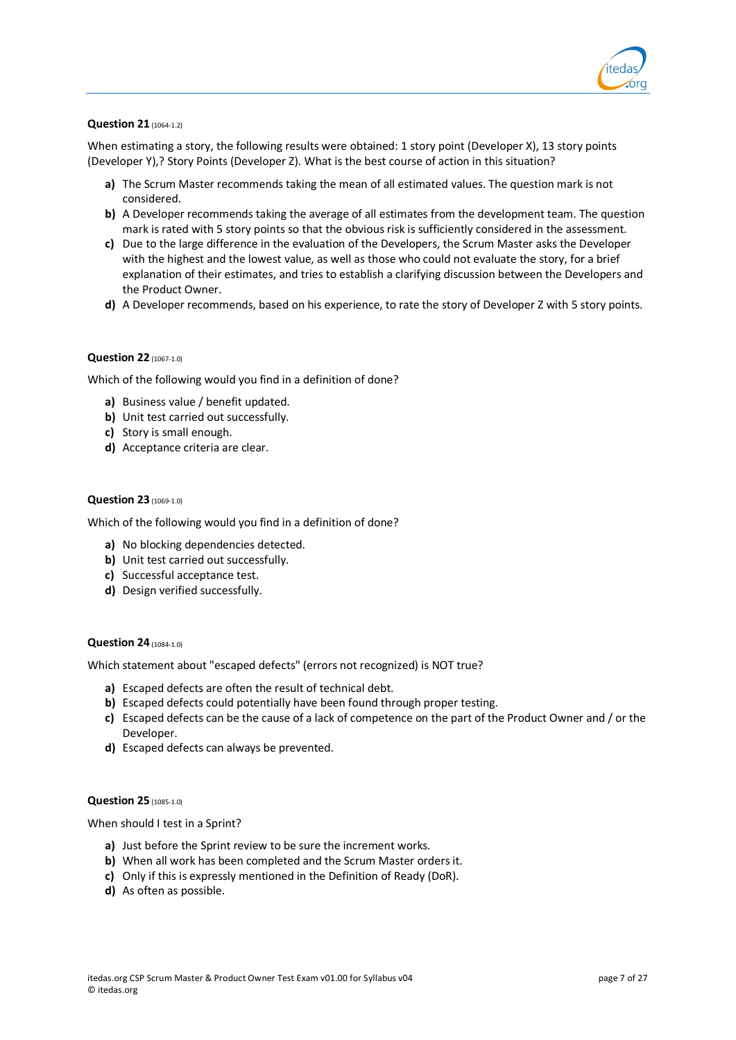

## **Question 21** (1064-1.2)

When estimating a story, the following results were obtained: 1 story point (Developer X), 13 story points (Developer Y),? Story Points (Developer Z). What is the best course of action in this situation?

- **a)** The Scrum Master recommends taking the mean of all estimated values. The question mark is not considered.
- **b)** A Developer recommends taking the average of all estimates from the development team. The question mark is rated with 5 story points so that the obvious risk is sufficiently considered in the assessment.
- **c)** Due to the large difference in the evaluation of the Developers, the Scrum Master asks the Developer with the highest and the lowest value, as well as those who could not evaluate the story, for a brief explanation of their estimates, and tries to establish a clarifying discussion between the Developers and the Product Owner.
- **d)** A Developer recommends, based on his experience, to rate the story of Developer Z with 5 story points.

## **Question 22** (1067-1.0)

Which of the following would you find in a definition of done?

- **a)** Business value / benefit updated.
- **b)** Unit test carried out successfully.
- **c)** Story is small enough.
- **d)** Acceptance criteria are clear.

## **Question 23** (1069-1.0)

Which of the following would you find in a definition of done?

- **a)** No blocking dependencies detected.
- **b)** Unit test carried out successfully.
- **c)** Successful acceptance test.
- **d)** Design verified successfully.

## **Question 24** (1084-1.0)

Which statement about "escaped defects" (errors not recognized) is NOT true?

- **a)** Escaped defects are often the result of technical debt.
- **b)** Escaped defects could potentially have been found through proper testing.
- **c)** Escaped defects can be the cause of a lack of competence on the part of the Product Owner and / or the Developer.
- **d)** Escaped defects can always be prevented.

## **Question 25** (1085-1.0)

When should I test in a Sprint?

- **a)** Just before the Sprint review to be sure the increment works.
- **b)** When all work has been completed and the Scrum Master orders it.
- **c)** Only if this is expressly mentioned in the Definition of Ready (DoR).
- **d)** As often as possible.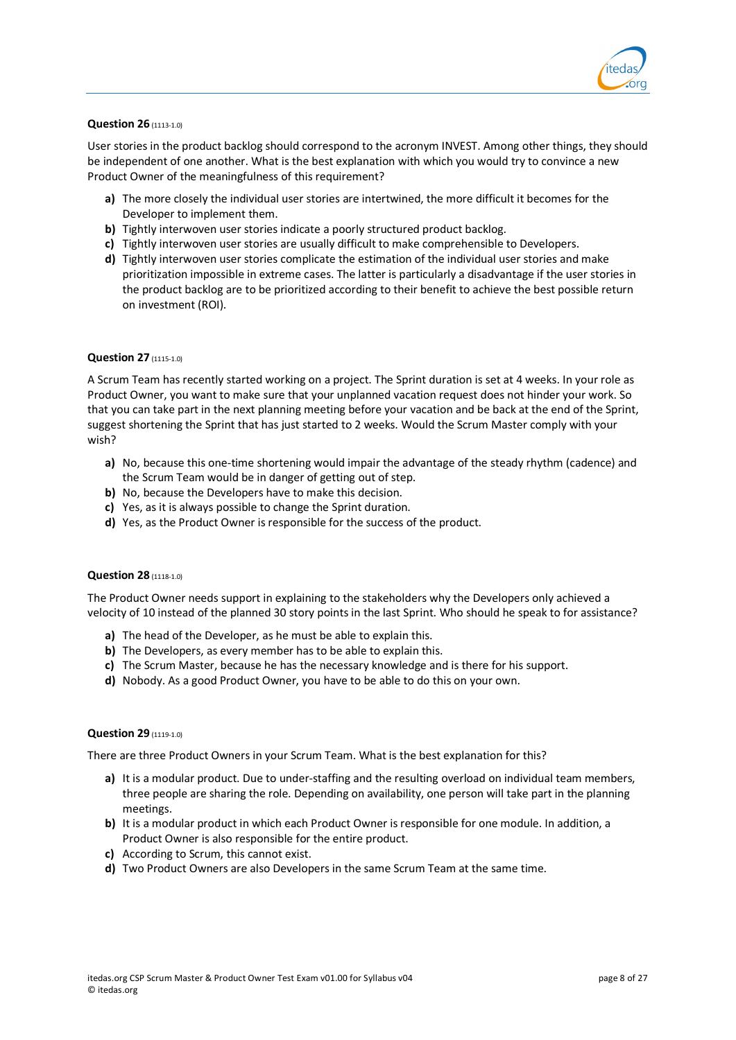

## **Question 26** (1113-1.0)

User stories in the product backlog should correspond to the acronym INVEST. Among other things, they should be independent of one another. What is the best explanation with which you would try to convince a new Product Owner of the meaningfulness of this requirement?

- **a)** The more closely the individual user stories are intertwined, the more difficult it becomes for the Developer to implement them.
- **b)** Tightly interwoven user stories indicate a poorly structured product backlog.
- **c)** Tightly interwoven user stories are usually difficult to make comprehensible to Developers.
- **d)** Tightly interwoven user stories complicate the estimation of the individual user stories and make prioritization impossible in extreme cases. The latter is particularly a disadvantage if the user stories in the product backlog are to be prioritized according to their benefit to achieve the best possible return on investment (ROI).

## **Question 27** (1115-1.0)

A Scrum Team has recently started working on a project. The Sprint duration is set at 4 weeks. In your role as Product Owner, you want to make sure that your unplanned vacation request does not hinder your work. So that you can take part in the next planning meeting before your vacation and be back at the end of the Sprint, suggest shortening the Sprint that has just started to 2 weeks. Would the Scrum Master comply with your wish?

- **a)** No, because this one-time shortening would impair the advantage of the steady rhythm (cadence) and the Scrum Team would be in danger of getting out of step.
- **b)** No, because the Developers have to make this decision.
- **c)** Yes, as it is always possible to change the Sprint duration.
- **d)** Yes, as the Product Owner is responsible for the success of the product.

## **Question 28** (1118-1.0)

The Product Owner needs support in explaining to the stakeholders why the Developers only achieved a velocity of 10 instead of the planned 30 story points in the last Sprint. Who should he speak to for assistance?

- **a)** The head of the Developer, as he must be able to explain this.
- **b)** The Developers, as every member has to be able to explain this.
- **c)** The Scrum Master, because he has the necessary knowledge and is there for his support.
- **d)** Nobody. As a good Product Owner, you have to be able to do this on your own.

## **Question 29** (1119-1.0)

There are three Product Owners in your Scrum Team. What is the best explanation for this?

- **a)** It is a modular product. Due to under-staffing and the resulting overload on individual team members, three people are sharing the role. Depending on availability, one person will take part in the planning meetings.
- **b)** It is a modular product in which each Product Owner is responsible for one module. In addition, a Product Owner is also responsible for the entire product.
- **c)** According to Scrum, this cannot exist.
- **d)** Two Product Owners are also Developers in the same Scrum Team at the same time.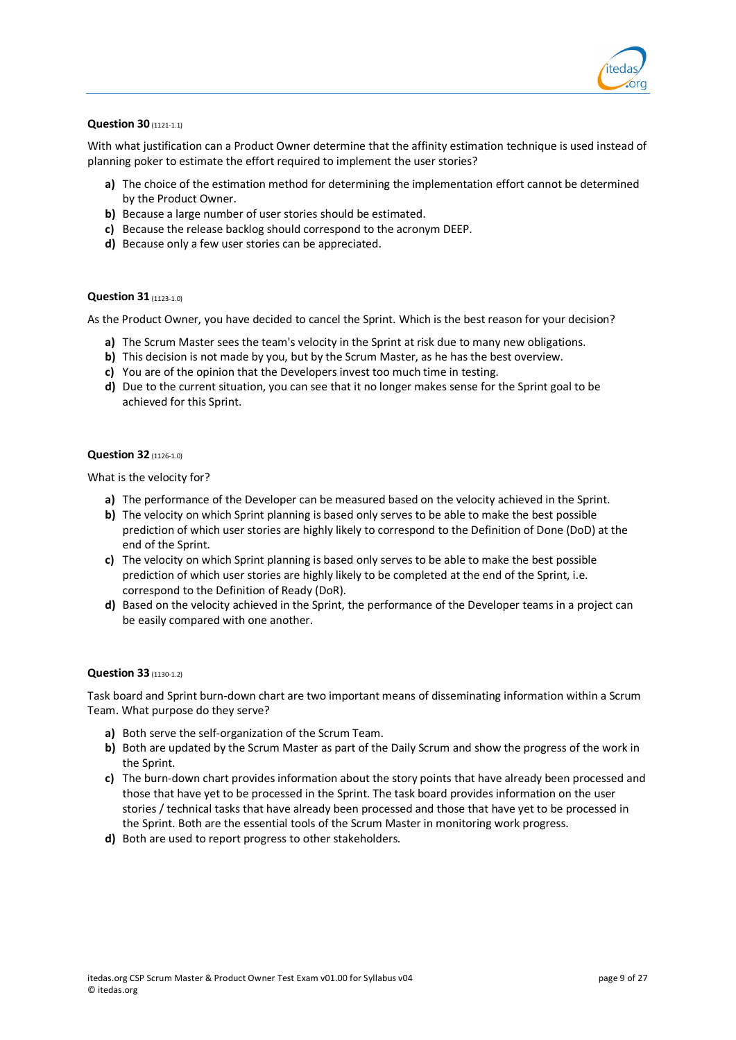

## **Question 30** (1121-1.1)

With what justification can a Product Owner determine that the affinity estimation technique is used instead of planning poker to estimate the effort required to implement the user stories?

- **a)** The choice of the estimation method for determining the implementation effort cannot be determined by the Product Owner.
- **b)** Because a large number of user stories should be estimated.
- **c)** Because the release backlog should correspond to the acronym DEEP.
- **d)** Because only a few user stories can be appreciated.

## **Question 31** (1123-1.0)

As the Product Owner, you have decided to cancel the Sprint. Which is the best reason for your decision?

- **a)** The Scrum Master sees the team's velocity in the Sprint at risk due to many new obligations.
- **b)** This decision is not made by you, but by the Scrum Master, as he has the best overview.
- **c)** You are of the opinion that the Developers invest too much time in testing.
- **d)** Due to the current situation, you can see that it no longer makes sense for the Sprint goal to be achieved for this Sprint.

## **Question 32** (1126-1.0)

What is the velocity for?

- **a)** The performance of the Developer can be measured based on the velocity achieved in the Sprint.
- **b)** The velocity on which Sprint planning is based only serves to be able to make the best possible prediction of which user stories are highly likely to correspond to the Definition of Done (DoD) at the end of the Sprint.
- **c)** The velocity on which Sprint planning is based only serves to be able to make the best possible prediction of which user stories are highly likely to be completed at the end of the Sprint, i.e. correspond to the Definition of Ready (DoR).
- **d)** Based on the velocity achieved in the Sprint, the performance of the Developer teams in a project can be easily compared with one another.

## **Question 33** (1130-1.2)

Task board and Sprint burn-down chart are two important means of disseminating information within a Scrum Team. What purpose do they serve?

- **a)** Both serve the self-organization of the Scrum Team.
- **b)** Both are updated by the Scrum Master as part of the Daily Scrum and show the progress of the work in the Sprint.
- **c)** The burn-down chart provides information about the story points that have already been processed and those that have yet to be processed in the Sprint. The task board provides information on the user stories / technical tasks that have already been processed and those that have yet to be processed in the Sprint. Both are the essential tools of the Scrum Master in monitoring work progress.
- **d)** Both are used to report progress to other stakeholders.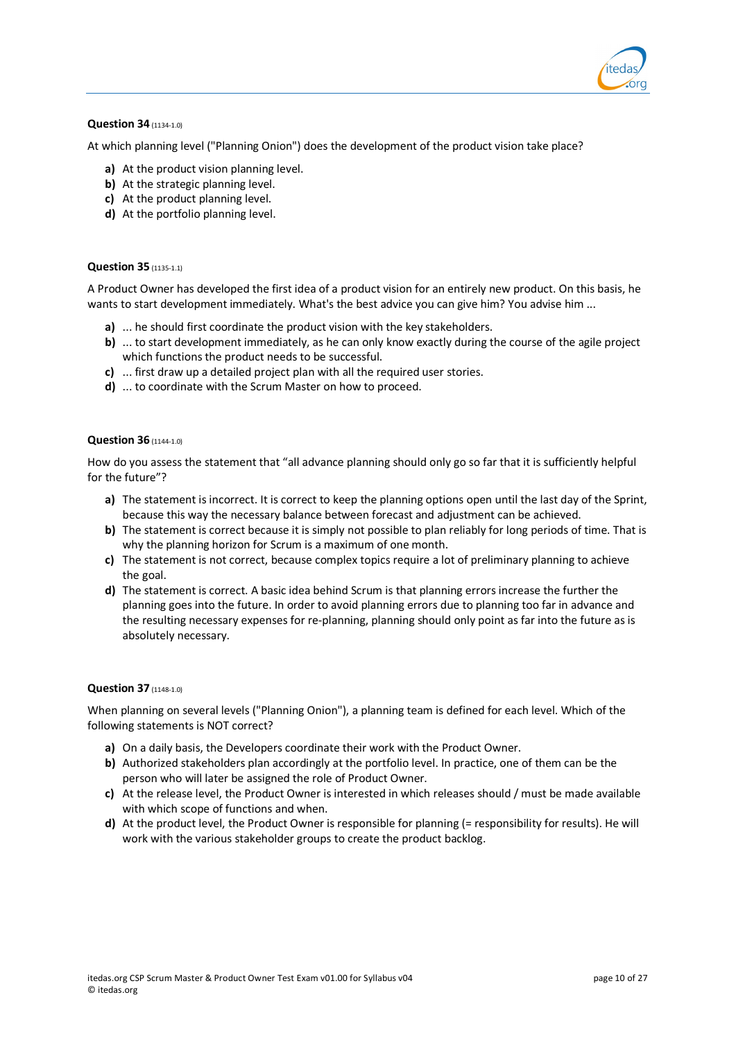

## **Question 34** (1134-1.0)

At which planning level ("Planning Onion") does the development of the product vision take place?

- **a)** At the product vision planning level.
- **b)** At the strategic planning level.
- **c)** At the product planning level.
- **d)** At the portfolio planning level.

## **Question 35** (1135-1.1)

A Product Owner has developed the first idea of a product vision for an entirely new product. On this basis, he wants to start development immediately. What's the best advice you can give him? You advise him ...

- **a)** ... he should first coordinate the product vision with the key stakeholders.
- **b)** ... to start development immediately, as he can only know exactly during the course of the agile project which functions the product needs to be successful.
- **c)** ... first draw up a detailed project plan with all the required user stories.
- **d)** ... to coordinate with the Scrum Master on how to proceed.

## **Question 36** (1144-1.0)

How do you assess the statement that "all advance planning should only go so far that it is sufficiently helpful for the future"?

- **a)** The statement is incorrect. It is correct to keep the planning options open until the last day of the Sprint, because this way the necessary balance between forecast and adjustment can be achieved.
- **b)** The statement is correct because it is simply not possible to plan reliably for long periods of time. That is why the planning horizon for Scrum is a maximum of one month.
- **c)** The statement is not correct, because complex topics require a lot of preliminary planning to achieve the goal.
- **d)** The statement is correct. A basic idea behind Scrum is that planning errors increase the further the planning goes into the future. In order to avoid planning errors due to planning too far in advance and the resulting necessary expenses for re-planning, planning should only point as far into the future as is absolutely necessary.

## **Question 37** (1148-1.0)

When planning on several levels ("Planning Onion"), a planning team is defined for each level. Which of the following statements is NOT correct?

- **a)** On a daily basis, the Developers coordinate their work with the Product Owner.
- **b)** Authorized stakeholders plan accordingly at the portfolio level. In practice, one of them can be the person who will later be assigned the role of Product Owner.
- **c)** At the release level, the Product Owner is interested in which releases should / must be made available with which scope of functions and when.
- **d)** At the product level, the Product Owner is responsible for planning (= responsibility for results). He will work with the various stakeholder groups to create the product backlog.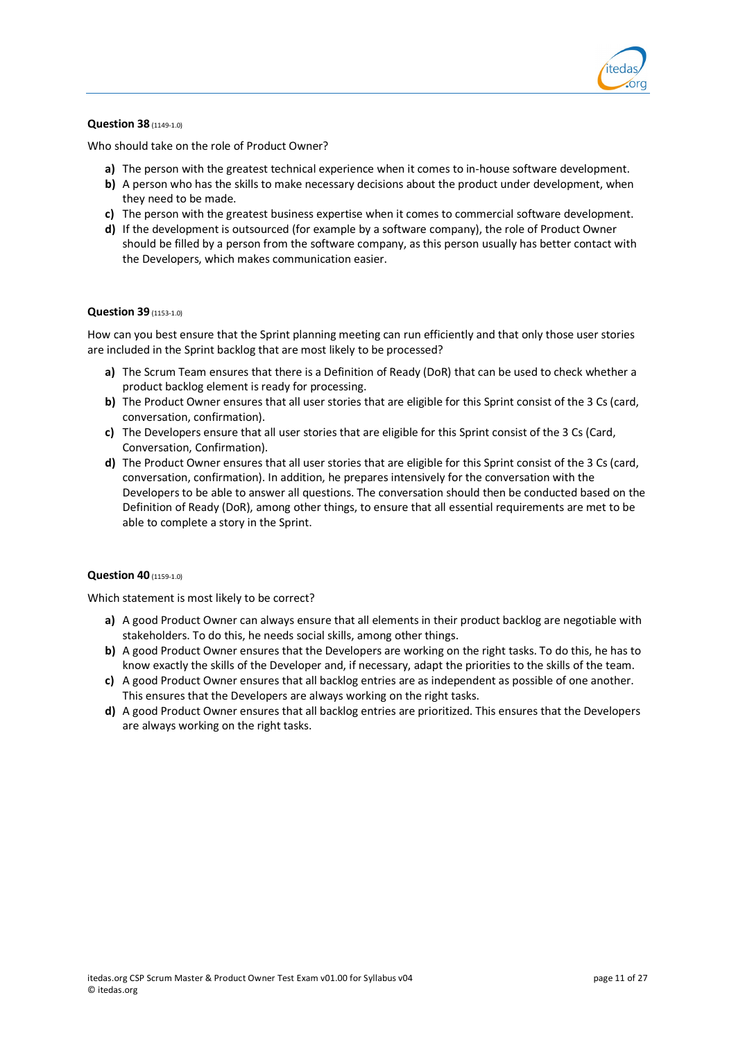

## **Question 38** (1149-1.0)

Who should take on the role of Product Owner?

- **a)** The person with the greatest technical experience when it comes to in-house software development.
- **b)** A person who has the skills to make necessary decisions about the product under development, when they need to be made.
- **c)** The person with the greatest business expertise when it comes to commercial software development.
- **d)** If the development is outsourced (for example by a software company), the role of Product Owner should be filled by a person from the software company, as this person usually has better contact with the Developers, which makes communication easier.

## **Question 39** (1153-1.0)

How can you best ensure that the Sprint planning meeting can run efficiently and that only those user stories are included in the Sprint backlog that are most likely to be processed?

- **a)** The Scrum Team ensures that there is a Definition of Ready (DoR) that can be used to check whether a product backlog element is ready for processing.
- **b)** The Product Owner ensures that all user stories that are eligible for this Sprint consist of the 3 Cs (card, conversation, confirmation).
- **c)** The Developers ensure that all user stories that are eligible for this Sprint consist of the 3 Cs (Card, Conversation, Confirmation).
- **d)** The Product Owner ensures that all user stories that are eligible for this Sprint consist of the 3 Cs (card, conversation, confirmation). In addition, he prepares intensively for the conversation with the Developers to be able to answer all questions. The conversation should then be conducted based on the Definition of Ready (DoR), among other things, to ensure that all essential requirements are met to be able to complete a story in the Sprint.

## **Question 40** (1159-1.0)

Which statement is most likely to be correct?

- **a)** A good Product Owner can always ensure that all elements in their product backlog are negotiable with stakeholders. To do this, he needs social skills, among other things.
- **b)** A good Product Owner ensures that the Developers are working on the right tasks. To do this, he has to know exactly the skills of the Developer and, if necessary, adapt the priorities to the skills of the team.
- **c)** A good Product Owner ensures that all backlog entries are as independent as possible of one another. This ensures that the Developers are always working on the right tasks.
- **d)** A good Product Owner ensures that all backlog entries are prioritized. This ensures that the Developers are always working on the right tasks.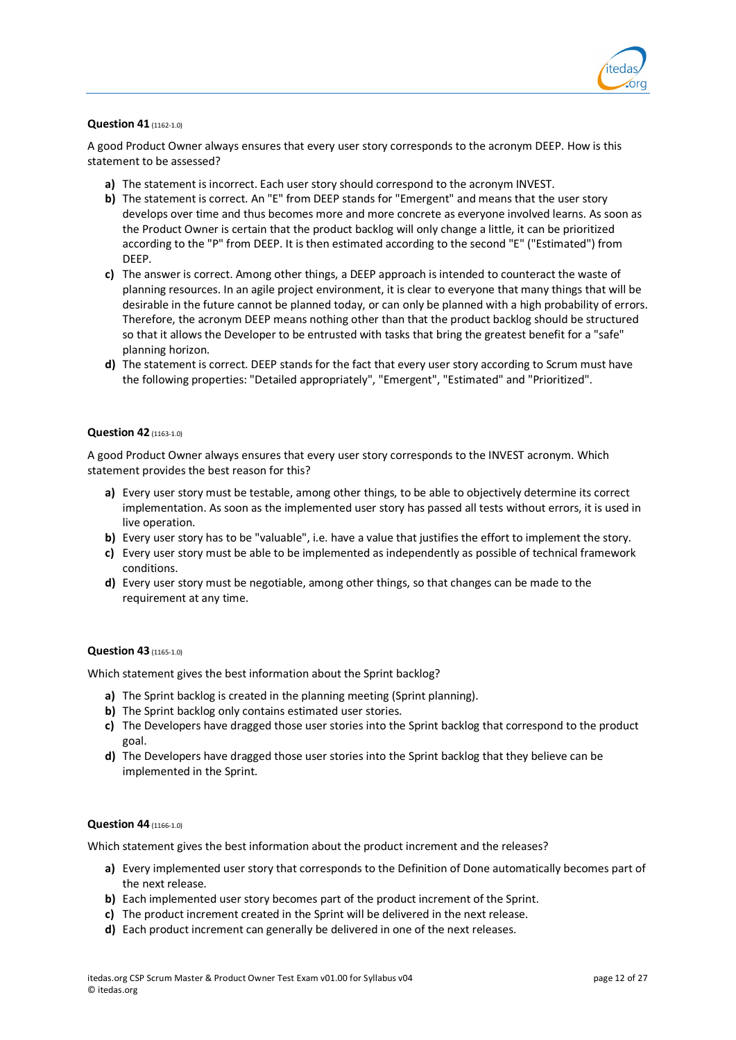

## **Question 41** (1162-1.0)

A good Product Owner always ensures that every user story corresponds to the acronym DEEP. How is this statement to be assessed?

- **a)** The statement is incorrect. Each user story should correspond to the acronym INVEST.
- **b)** The statement is correct. An "E" from DEEP stands for "Emergent" and means that the user story develops over time and thus becomes more and more concrete as everyone involved learns. As soon as the Product Owner is certain that the product backlog will only change a little, it can be prioritized according to the "P" from DEEP. It is then estimated according to the second "E" ("Estimated") from DEEP.
- **c)** The answer is correct. Among other things, a DEEP approach is intended to counteract the waste of planning resources. In an agile project environment, it is clear to everyone that many things that will be desirable in the future cannot be planned today, or can only be planned with a high probability of errors. Therefore, the acronym DEEP means nothing other than that the product backlog should be structured so that it allows the Developer to be entrusted with tasks that bring the greatest benefit for a "safe" planning horizon.
- **d)** The statement is correct. DEEP stands for the fact that every user story according to Scrum must have the following properties: "Detailed appropriately", "Emergent", "Estimated" and "Prioritized".

## **Question 42** (1163-1.0)

A good Product Owner always ensures that every user story corresponds to the INVEST acronym. Which statement provides the best reason for this?

- **a)** Every user story must be testable, among other things, to be able to objectively determine its correct implementation. As soon as the implemented user story has passed all tests without errors, it is used in live operation.
- **b)** Every user story has to be "valuable", i.e. have a value that justifies the effort to implement the story.
- **c)** Every user story must be able to be implemented as independently as possible of technical framework conditions.
- **d)** Every user story must be negotiable, among other things, so that changes can be made to the requirement at any time.

## **Question 43** (1165-1.0)

Which statement gives the best information about the Sprint backlog?

- **a)** The Sprint backlog is created in the planning meeting (Sprint planning).
- **b)** The Sprint backlog only contains estimated user stories.
- **c)** The Developers have dragged those user stories into the Sprint backlog that correspond to the product goal.
- **d)** The Developers have dragged those user stories into the Sprint backlog that they believe can be implemented in the Sprint.

## **Question 44** (1166-1.0)

Which statement gives the best information about the product increment and the releases?

- **a)** Every implemented user story that corresponds to the Definition of Done automatically becomes part of the next release.
- **b)** Each implemented user story becomes part of the product increment of the Sprint.
- **c)** The product increment created in the Sprint will be delivered in the next release.
- **d)** Each product increment can generally be delivered in one of the next releases.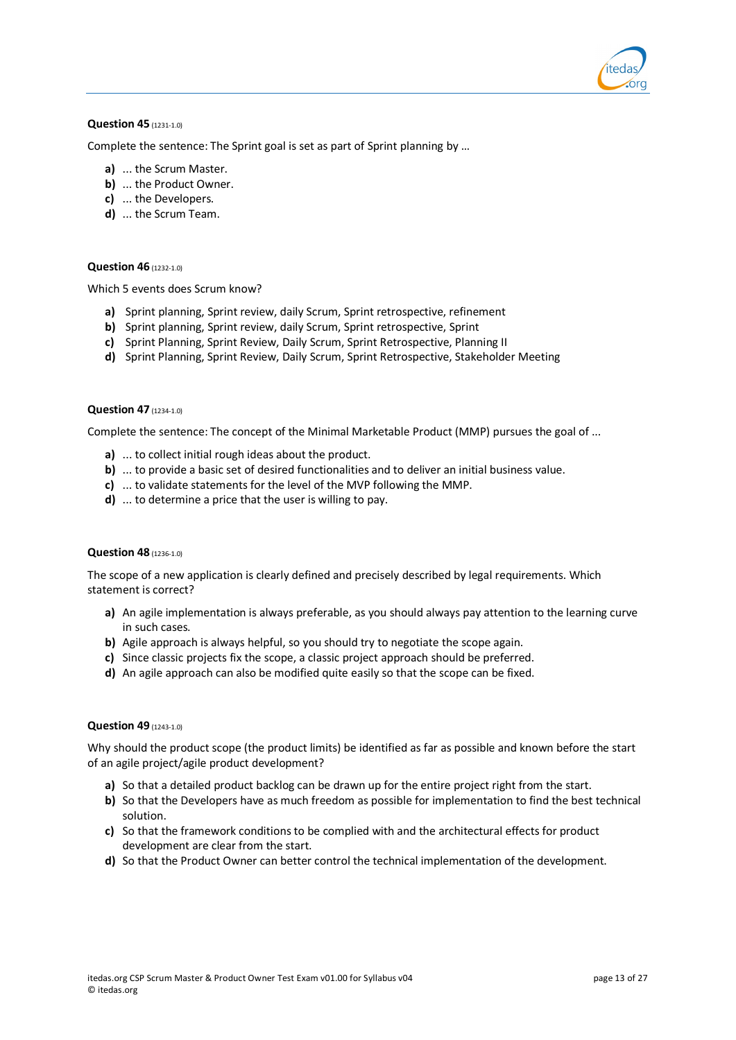

Complete the sentence: The Sprint goal is set as part of Sprint planning by …

- **a)** ... the Scrum Master.
- **b)** ... the Product Owner.
- **c)** ... the Developers.
- **d)** ... the Scrum Team.

## **Question 46** (1232-1.0)

Which 5 events does Scrum know?

- **a)** Sprint planning, Sprint review, daily Scrum, Sprint retrospective, refinement
- **b)** Sprint planning, Sprint review, daily Scrum, Sprint retrospective, Sprint
- **c)** Sprint Planning, Sprint Review, Daily Scrum, Sprint Retrospective, Planning II
- **d)** Sprint Planning, Sprint Review, Daily Scrum, Sprint Retrospective, Stakeholder Meeting

## **Question 47** (1234-1.0)

Complete the sentence: The concept of the Minimal Marketable Product (MMP) pursues the goal of ...

- **a)** ... to collect initial rough ideas about the product.
- **b)** ... to provide a basic set of desired functionalities and to deliver an initial business value.
- **c)** ... to validate statements for the level of the MVP following the MMP.
- **d)** ... to determine a price that the user is willing to pay.

## **Question 48** (1236-1.0)

The scope of a new application is clearly defined and precisely described by legal requirements. Which statement is correct?

- **a)** An agile implementation is always preferable, as you should always pay attention to the learning curve in such cases.
- **b)** Agile approach is always helpful, so you should try to negotiate the scope again.
- **c)** Since classic projects fix the scope, a classic project approach should be preferred.
- **d)** An agile approach can also be modified quite easily so that the scope can be fixed.

## **Question 49** (1243-1.0)

Why should the product scope (the product limits) be identified as far as possible and known before the start of an agile project/agile product development?

- **a)** So that a detailed product backlog can be drawn up for the entire project right from the start.
- **b)** So that the Developers have as much freedom as possible for implementation to find the best technical solution.
- **c)** So that the framework conditions to be complied with and the architectural effects for product development are clear from the start.
- **d)** So that the Product Owner can better control the technical implementation of the development.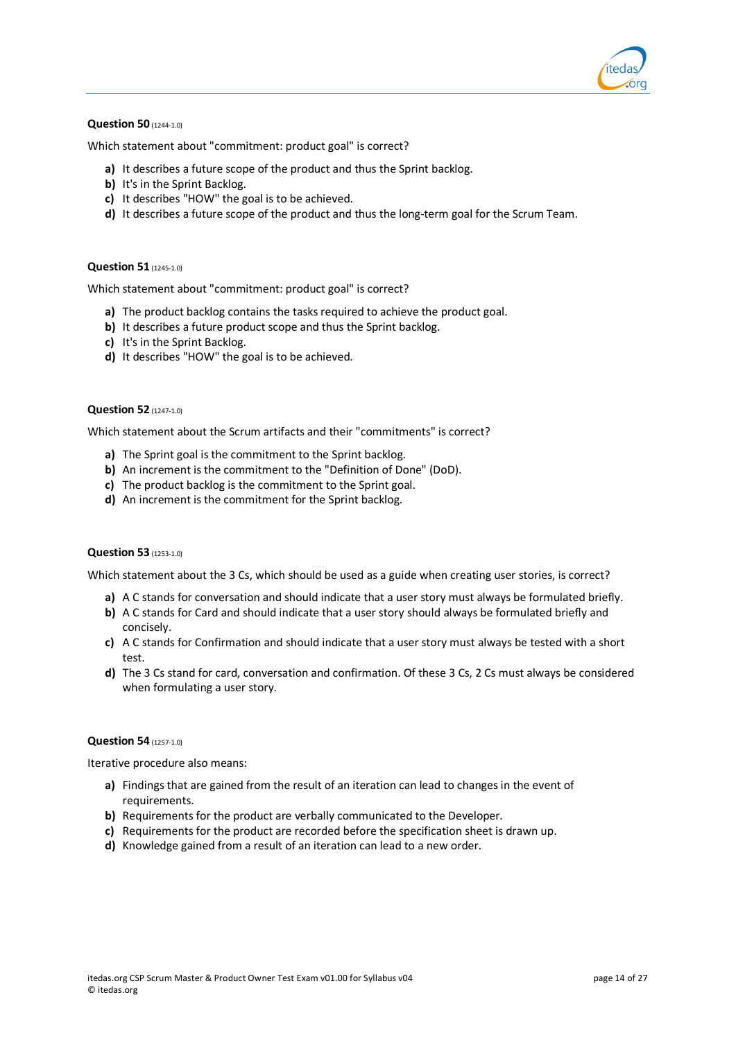

## **Question 50** (1244-1.0)

Which statement about "commitment: product goal" is correct?

- **a)** It describes a future scope of the product and thus the Sprint backlog.
- **b)** It's in the Sprint Backlog.
- **c)** It describes "HOW" the goal is to be achieved.
- **d)** It describes a future scope of the product and thus the long-term goal for the Scrum Team.

## **Question 51** (1245-1.0)

Which statement about "commitment: product goal" is correct?

- **a)** The product backlog contains the tasks required to achieve the product goal.
- **b)** It describes a future product scope and thus the Sprint backlog.
- **c)** It's in the Sprint Backlog.
- **d)** It describes "HOW" the goal is to be achieved.

## **Question 52** (1247-1.0)

Which statement about the Scrum artifacts and their "commitments" is correct?

- **a)** The Sprint goal is the commitment to the Sprint backlog.
- **b)** An increment is the commitment to the "Definition of Done" (DoD).
- **c)** The product backlog is the commitment to the Sprint goal.
- **d)** An increment is the commitment for the Sprint backlog.

#### **Question 53** (1253-1.0)

Which statement about the 3 Cs, which should be used as a guide when creating user stories, is correct?

- **a)** A C stands for conversation and should indicate that a user story must always be formulated briefly.
- **b)** A C stands for Card and should indicate that a user story should always be formulated briefly and concisely.
- **c)** A C stands for Confirmation and should indicate that a user story must always be tested with a short test.
- **d)** The 3 Cs stand for card, conversation and confirmation. Of these 3 Cs, 2 Cs must always be considered when formulating a user story.

## **Question 54** (1257-1.0)

Iterative procedure also means:

- **a)** Findings that are gained from the result of an iteration can lead to changes in the event of requirements.
- **b)** Requirements for the product are verbally communicated to the Developer.
- **c)** Requirements for the product are recorded before the specification sheet is drawn up.
- **d)** Knowledge gained from a result of an iteration can lead to a new order.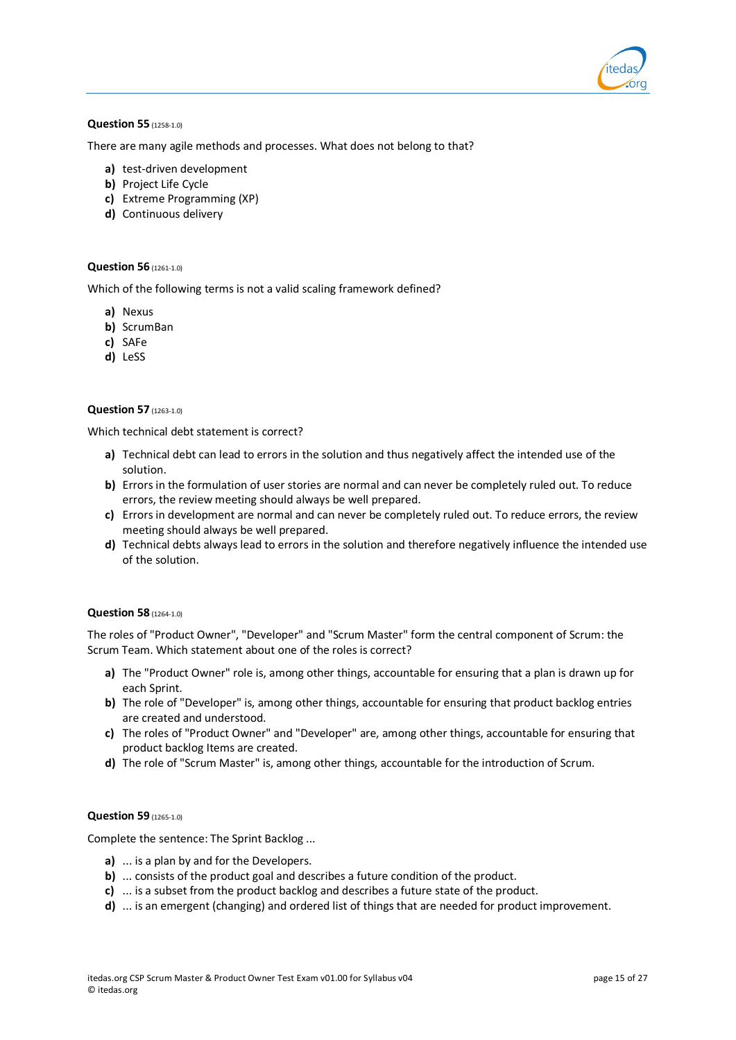

## **Question 55** (1258-1.0)

There are many agile methods and processes. What does not belong to that?

- **a)** test-driven development
- **b)** Project Life Cycle
- **c)** Extreme Programming (XP)
- **d)** Continuous delivery

## **Question 56** (1261-1.0)

Which of the following terms is not a valid scaling framework defined?

- **a)** Nexus
- **b)** ScrumBan
- **c)** SAFe
- **d)** LeSS

## **Question 57** (1263-1.0)

Which technical debt statement is correct?

- **a)** Technical debt can lead to errors in the solution and thus negatively affect the intended use of the solution.
- **b)** Errors in the formulation of user stories are normal and can never be completely ruled out. To reduce errors, the review meeting should always be well prepared.
- **c)** Errors in development are normal and can never be completely ruled out. To reduce errors, the review meeting should always be well prepared.
- **d)** Technical debts always lead to errors in the solution and therefore negatively influence the intended use of the solution.

## **Question 58** (1264-1.0)

The roles of "Product Owner", "Developer" and "Scrum Master" form the central component of Scrum: the Scrum Team. Which statement about one of the roles is correct?

- **a)** The "Product Owner" role is, among other things, accountable for ensuring that a plan is drawn up for each Sprint.
- **b)** The role of "Developer" is, among other things, accountable for ensuring that product backlog entries are created and understood.
- **c)** The roles of "Product Owner" and "Developer" are, among other things, accountable for ensuring that product backlog Items are created.
- **d)** The role of "Scrum Master" is, among other things, accountable for the introduction of Scrum.

## **Question 59** (1265-1.0)

Complete the sentence: The Sprint Backlog ...

- **a)** ... is a plan by and for the Developers.
- **b)** ... consists of the product goal and describes a future condition of the product.
- **c)** ... is a subset from the product backlog and describes a future state of the product.
- **d)** ... is an emergent (changing) and ordered list of things that are needed for product improvement.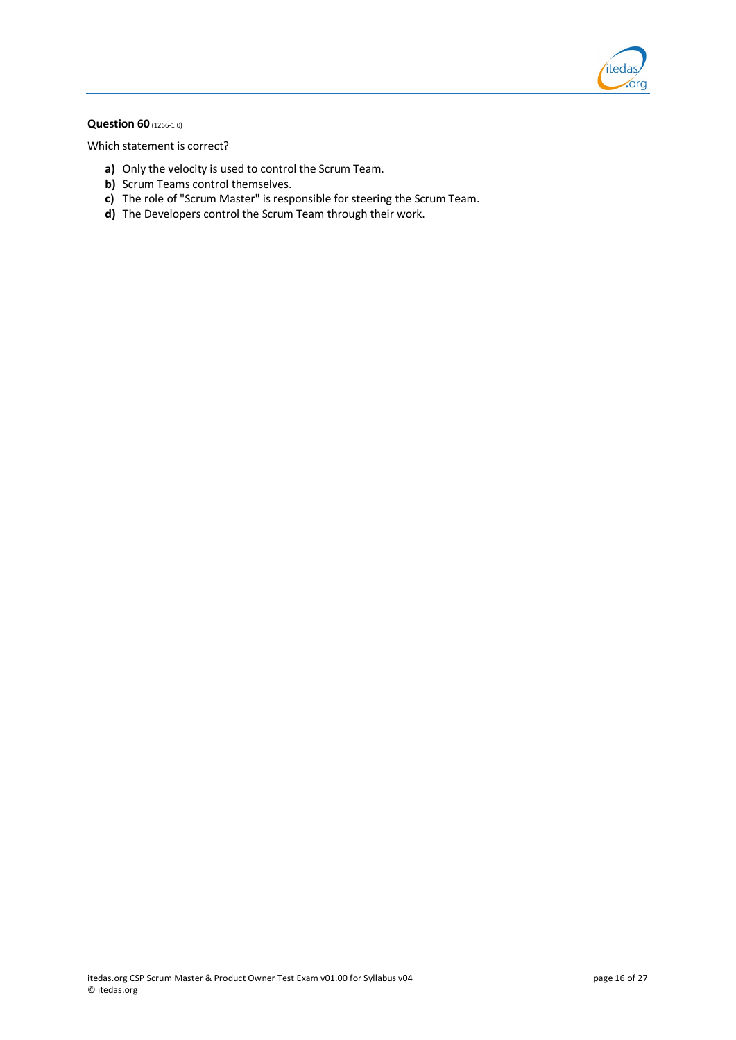

## **Question 60** (1266-1.0)

Which statement is correct?

- **a)** Only the velocity is used to control the Scrum Team.
- **b)** Scrum Teams control themselves.
- **c)** The role of "Scrum Master" is responsible for steering the Scrum Team.
- **d)** The Developers control the Scrum Team through their work.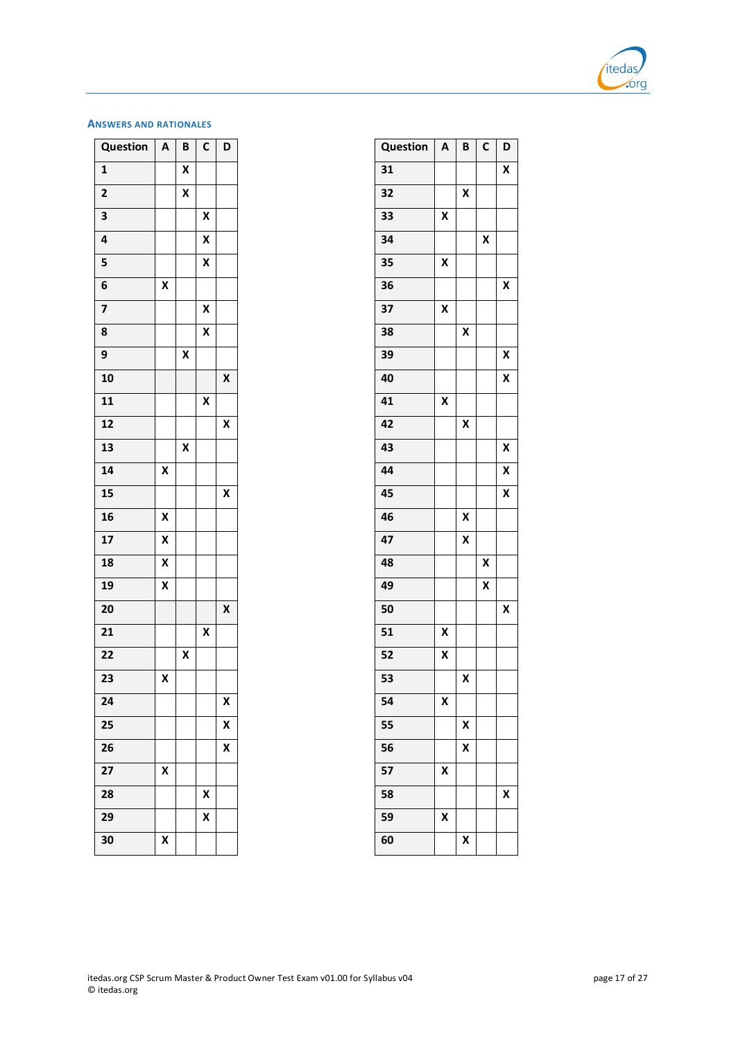

## **ANSWERS AND RATIONALES**

| <b>Question</b>         | A                       | B                       | $\mathbf c$             | D                  |
|-------------------------|-------------------------|-------------------------|-------------------------|--------------------|
| $\mathbf{1}$            |                         | X                       |                         |                    |
| $\overline{\mathbf{c}}$ |                         | $\overline{\mathbf{x}}$ |                         |                    |
| 3                       |                         |                         | X                       |                    |
| 4                       |                         |                         | $\mathsf{x}$            |                    |
| 5                       |                         |                         | $\overline{\mathsf{x}}$ |                    |
| 6                       | X                       |                         |                         |                    |
| 7                       |                         |                         | X                       |                    |
| 8                       |                         |                         | $\overline{\mathbf{x}}$ |                    |
| $\overline{9}$          |                         | X                       |                         |                    |
| 10                      |                         |                         |                         | X                  |
| $\overline{11}$         |                         |                         | X                       |                    |
| $\overline{12}$         |                         |                         |                         | $\bar{\mathbf{x}}$ |
| $\overline{13}$         |                         | X                       |                         |                    |
| $\overline{14}$         | X                       |                         |                         |                    |
| $\overline{15}$         |                         |                         |                         | X                  |
| 16                      | X                       |                         |                         |                    |
| $\overline{17}$         | $\overline{\mathbf{X}}$ |                         |                         |                    |
| 18                      | $\overline{\mathbf{X}}$ |                         |                         |                    |
| 19                      | X                       |                         |                         |                    |
| 20                      |                         |                         |                         | $\pmb{\mathsf{X}}$ |
| 21                      |                         |                         | X                       |                    |
| $\overline{22}$         |                         | X                       |                         |                    |
| $\overline{23}$         | X                       |                         |                         |                    |
| 24                      |                         |                         |                         | X                  |
| 25                      |                         |                         |                         | X                  |
| 26                      |                         |                         |                         | X                  |
| 27                      | X                       |                         |                         |                    |
| 28                      |                         |                         | X                       |                    |
| 29                      |                         |                         | $\overline{\mathbf{x}}$ |                    |
| $\overline{30}$         | X                       |                         |                         |                    |

| Question        | $\boldsymbol{\mathsf{A}}$ | B | $\mathsf{C}$ | D                       |
|-----------------|---------------------------|---|--------------|-------------------------|
| 31              |                           |   |              | X                       |
| 32              |                           | X |              |                         |
| 33              | X                         |   |              |                         |
| 34              |                           |   | X            |                         |
| 35              | X                         |   |              |                         |
| 36              |                           |   |              | X                       |
| $\overline{37}$ | X                         |   |              |                         |
| 38              |                           | X |              |                         |
| 39              |                           |   |              | X                       |
| 40              |                           |   |              | $\overline{\mathbf{x}}$ |
| 41              | X                         |   |              |                         |
| 42              |                           | X |              |                         |
| 43              |                           |   |              | X                       |
| 44              |                           |   |              | $\overline{\mathbf{x}}$ |
| $\overline{45}$ |                           |   |              | $\overline{\mathbf{x}}$ |
| 46              |                           | X |              |                         |
| 47              |                           | X |              |                         |
| 48              |                           |   | X            |                         |
| 49              |                           |   | X            |                         |
| 50              |                           |   |              | X                       |
| 51              | X                         |   |              |                         |
| 52              | X                         |   |              |                         |
| 53              |                           | X |              |                         |
| 54              | X                         |   |              |                         |
| 55              |                           | X |              |                         |
| 56              |                           | X |              |                         |
| 57              | X                         |   |              |                         |
| 58              |                           |   |              | X                       |
| 59              | X                         |   |              |                         |
| 60              |                           | X |              |                         |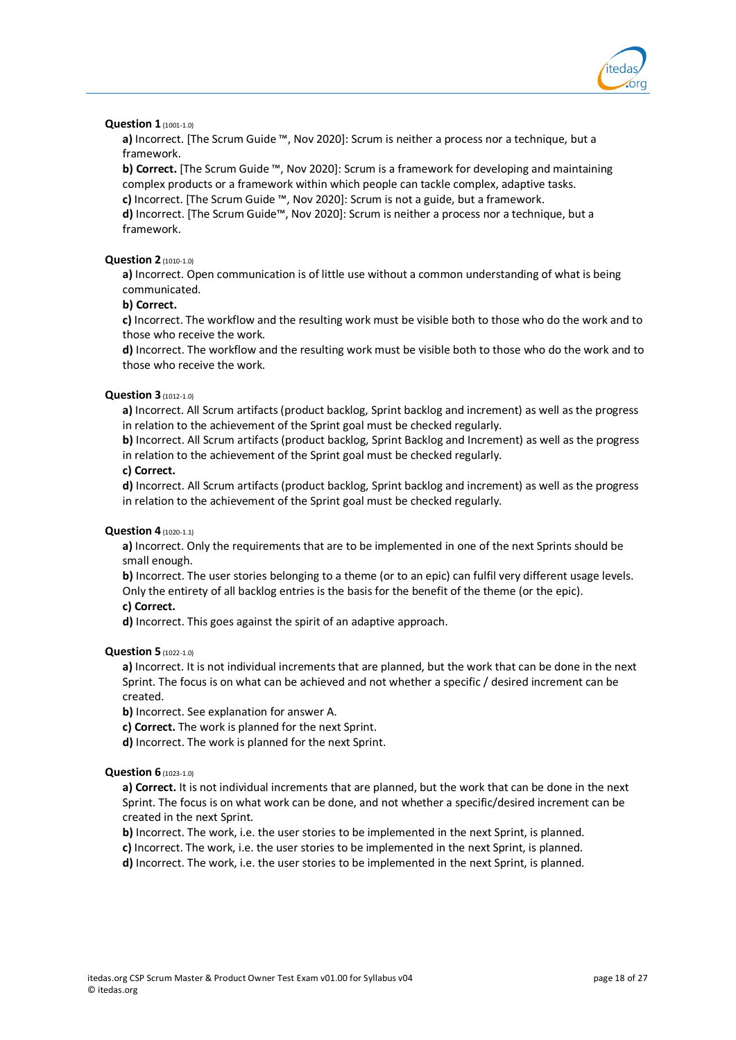

## **Question 1** (1001-1.0)

**a)** Incorrect. [The Scrum Guide ™, Nov 2020]: Scrum is neither a process nor a technique, but a framework.

**b) Correct.** [The Scrum Guide ™, Nov 2020]: Scrum is a framework for developing and maintaining complex products or a framework within which people can tackle complex, adaptive tasks.

**c)** Incorrect. [The Scrum Guide ™, Nov 2020]: Scrum is not a guide, but a framework.

**d)** Incorrect. [The Scrum Guide™, Nov 2020]: Scrum is neither a process nor a technique, but a framework.

## **Question 2** (1010-1.0)

**a)** Incorrect. Open communication is of little use without a common understanding of what is being communicated.

## **b) Correct.**

**c)** Incorrect. The workflow and the resulting work must be visible both to those who do the work and to those who receive the work.

**d)** Incorrect. The workflow and the resulting work must be visible both to those who do the work and to those who receive the work.

## **Question 3** (1012-1.0)

**a)** Incorrect. All Scrum artifacts (product backlog, Sprint backlog and increment) as well as the progress in relation to the achievement of the Sprint goal must be checked regularly.

**b)** Incorrect. All Scrum artifacts (product backlog, Sprint Backlog and Increment) as well as the progress in relation to the achievement of the Sprint goal must be checked regularly.

## **c) Correct.**

**d)** Incorrect. All Scrum artifacts (product backlog, Sprint backlog and increment) as well as the progress in relation to the achievement of the Sprint goal must be checked regularly.

## **Question 4** (1020-1.1)

**a)** Incorrect. Only the requirements that are to be implemented in one of the next Sprints should be small enough.

**b)** Incorrect. The user stories belonging to a theme (or to an epic) can fulfil very different usage levels. Only the entirety of all backlog entries is the basis for the benefit of the theme (or the epic). **c) Correct.**

**d)** Incorrect. This goes against the spirit of an adaptive approach.

## **Question 5** (1022-1.0)

**a)** Incorrect. It is not individual increments that are planned, but the work that can be done in the next Sprint. The focus is on what can be achieved and not whether a specific / desired increment can be created.

**b)** Incorrect. See explanation for answer A.

**c) Correct.** The work is planned for the next Sprint.

**d)** Incorrect. The work is planned for the next Sprint.

## **Question 6** (1023-1.0)

**a) Correct.** It is not individual increments that are planned, but the work that can be done in the next Sprint. The focus is on what work can be done, and not whether a specific/desired increment can be created in the next Sprint.

**b)** Incorrect. The work, i.e. the user stories to be implemented in the next Sprint, is planned.

**c)** Incorrect. The work, i.e. the user stories to be implemented in the next Sprint, is planned.

**d)** Incorrect. The work, i.e. the user stories to be implemented in the next Sprint, is planned.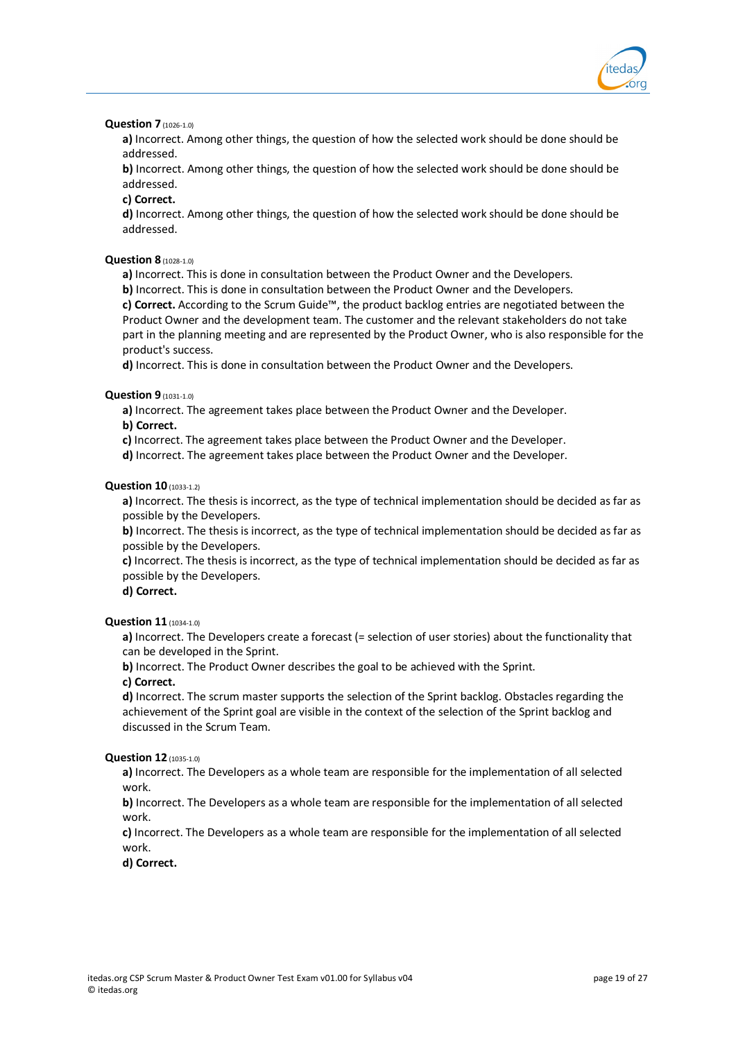

## **Question 7** (1026-1.0)

**a)** Incorrect. Among other things, the question of how the selected work should be done should be addressed.

**b)** Incorrect. Among other things, the question of how the selected work should be done should be addressed.

**c) Correct.**

**d)** Incorrect. Among other things, the question of how the selected work should be done should be addressed.

## **Question 8** (1028-1.0)

**a)** Incorrect. This is done in consultation between the Product Owner and the Developers. **b)** Incorrect. This is done in consultation between the Product Owner and the Developers. **c) Correct.** According to the Scrum Guide™, the product backlog entries are negotiated between the Product Owner and the development team. The customer and the relevant stakeholders do not take part in the planning meeting and are represented by the Product Owner, who is also responsible for the product's success.

**d)** Incorrect. This is done in consultation between the Product Owner and the Developers.

## **Question 9** (1031-1.0)

**a)** Incorrect. The agreement takes place between the Product Owner and the Developer.

**b) Correct.**

**c)** Incorrect. The agreement takes place between the Product Owner and the Developer.

**d)** Incorrect. The agreement takes place between the Product Owner and the Developer.

## **Question 10** (1033-1.2)

**a)** Incorrect. The thesis is incorrect, as the type of technical implementation should be decided as far as possible by the Developers.

**b)** Incorrect. The thesis is incorrect, as the type of technical implementation should be decided as far as possible by the Developers.

**c)** Incorrect. The thesis is incorrect, as the type of technical implementation should be decided as far as possible by the Developers.

## **d) Correct.**

## **Question 11** (1034-1.0)

**a)** Incorrect. The Developers create a forecast (= selection of user stories) about the functionality that can be developed in the Sprint.

**b)** Incorrect. The Product Owner describes the goal to be achieved with the Sprint.

## **c) Correct.**

**d)** Incorrect. The scrum master supports the selection of the Sprint backlog. Obstacles regarding the achievement of the Sprint goal are visible in the context of the selection of the Sprint backlog and discussed in the Scrum Team.

## **Question 12** (1035-1.0)

**a)** Incorrect. The Developers as a whole team are responsible for the implementation of all selected work.

**b)** Incorrect. The Developers as a whole team are responsible for the implementation of all selected work.

**c)** Incorrect. The Developers as a whole team are responsible for the implementation of all selected work.

**d) Correct.**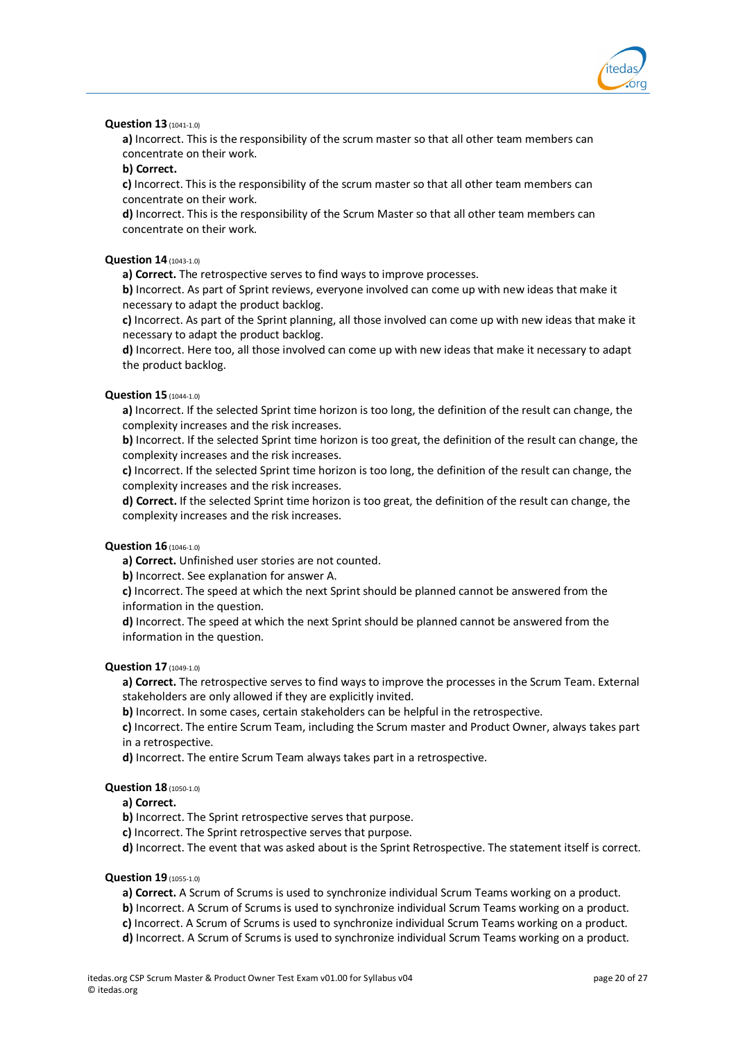

## **Question 13** (1041-1.0)

**a)** Incorrect. This is the responsibility of the scrum master so that all other team members can concentrate on their work.

## **b) Correct.**

**c)** Incorrect. This is the responsibility of the scrum master so that all other team members can concentrate on their work.

**d)** Incorrect. This is the responsibility of the Scrum Master so that all other team members can concentrate on their work.

## **Question 14** (1043-1.0)

**a) Correct.** The retrospective serves to find ways to improve processes.

**b)** Incorrect. As part of Sprint reviews, everyone involved can come up with new ideas that make it necessary to adapt the product backlog.

**c)** Incorrect. As part of the Sprint planning, all those involved can come up with new ideas that make it necessary to adapt the product backlog.

**d)** Incorrect. Here too, all those involved can come up with new ideas that make it necessary to adapt the product backlog.

## **Question 15** (1044-1.0)

**a)** Incorrect. If the selected Sprint time horizon is too long, the definition of the result can change, the complexity increases and the risk increases.

**b)** Incorrect. If the selected Sprint time horizon is too great, the definition of the result can change, the complexity increases and the risk increases.

**c)** Incorrect. If the selected Sprint time horizon is too long, the definition of the result can change, the complexity increases and the risk increases.

**d) Correct.** If the selected Sprint time horizon is too great, the definition of the result can change, the complexity increases and the risk increases.

## **Question 16** (1046-1.0)

**a) Correct.** Unfinished user stories are not counted.

**b)** Incorrect. See explanation for answer A.

**c)** Incorrect. The speed at which the next Sprint should be planned cannot be answered from the information in the question.

**d)** Incorrect. The speed at which the next Sprint should be planned cannot be answered from the information in the question.

#### **Question 17** (1049-1.0)

**a) Correct.** The retrospective serves to find ways to improve the processes in the Scrum Team. External stakeholders are only allowed if they are explicitly invited.

**b)** Incorrect. In some cases, certain stakeholders can be helpful in the retrospective.

**c)** Incorrect. The entire Scrum Team, including the Scrum master and Product Owner, always takes part in a retrospective.

**d)** Incorrect. The entire Scrum Team always takes part in a retrospective.

## **Question 18** (1050-1.0)

**a) Correct.**

**b)** Incorrect. The Sprint retrospective serves that purpose.

**c)** Incorrect. The Sprint retrospective serves that purpose.

**d)** Incorrect. The event that was asked about is the Sprint Retrospective. The statement itself is correct.

## **Question 19** (1055-1.0)

**a) Correct.** A Scrum of Scrums is used to synchronize individual Scrum Teams working on a product.

**b)** Incorrect. A Scrum of Scrums is used to synchronize individual Scrum Teams working on a product.

**c)** Incorrect. A Scrum of Scrums is used to synchronize individual Scrum Teams working on a product.

**d)** Incorrect. A Scrum of Scrums is used to synchronize individual Scrum Teams working on a product.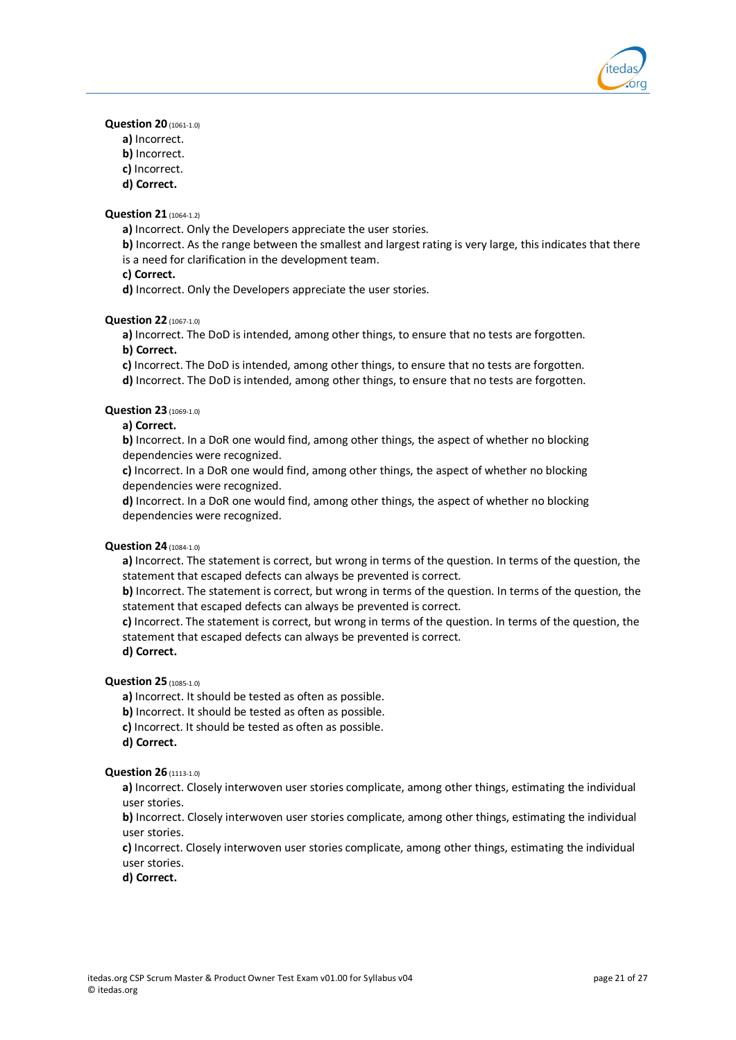

**Question 20** (1061-1.0)

- **a)** Incorrect.
- **b)** Incorrect.
- **c)** Incorrect.
- **d) Correct.**

## **Question 21** (1064-1.2)

**a)** Incorrect. Only the Developers appreciate the user stories.

**b**) Incorrect. As the range between the smallest and largest rating is very large, this indicates that there is a need for clarification in the development team.

**c) Correct.**

**d)** Incorrect. Only the Developers appreciate the user stories.

## **Question 22** (1067-1.0)

**a)** Incorrect. The DoD is intended, among other things, to ensure that no tests are forgotten.

**b) Correct.**

**c)** Incorrect. The DoD is intended, among other things, to ensure that no tests are forgotten.

**d)** Incorrect. The DoD is intended, among other things, to ensure that no tests are forgotten.

## **Question 23** (1069-1.0)

## **a) Correct.**

**b)** Incorrect. In a DoR one would find, among other things, the aspect of whether no blocking dependencies were recognized.

**c)** Incorrect. In a DoR one would find, among other things, the aspect of whether no blocking dependencies were recognized.

**d)** Incorrect. In a DoR one would find, among other things, the aspect of whether no blocking dependencies were recognized.

## **Question 24** (1084-1.0)

**a)** Incorrect. The statement is correct, but wrong in terms of the question. In terms of the question, the statement that escaped defects can always be prevented is correct.

**b)** Incorrect. The statement is correct, but wrong in terms of the question. In terms of the question, the statement that escaped defects can always be prevented is correct.

**c)** Incorrect. The statement is correct, but wrong in terms of the question. In terms of the question, the statement that escaped defects can always be prevented is correct. **d) Correct.**

## **Question 25** (1085-1.0)

**a)** Incorrect. It should be tested as often as possible.

**b)** Incorrect. It should be tested as often as possible.

**c)** Incorrect. It should be tested as often as possible.

**d) Correct.**

## **Question 26** (1113-1.0)

**a)** Incorrect. Closely interwoven user stories complicate, among other things, estimating the individual user stories.

**b)** Incorrect. Closely interwoven user stories complicate, among other things, estimating the individual user stories.

**c)** Incorrect. Closely interwoven user stories complicate, among other things, estimating the individual user stories.

**d) Correct.**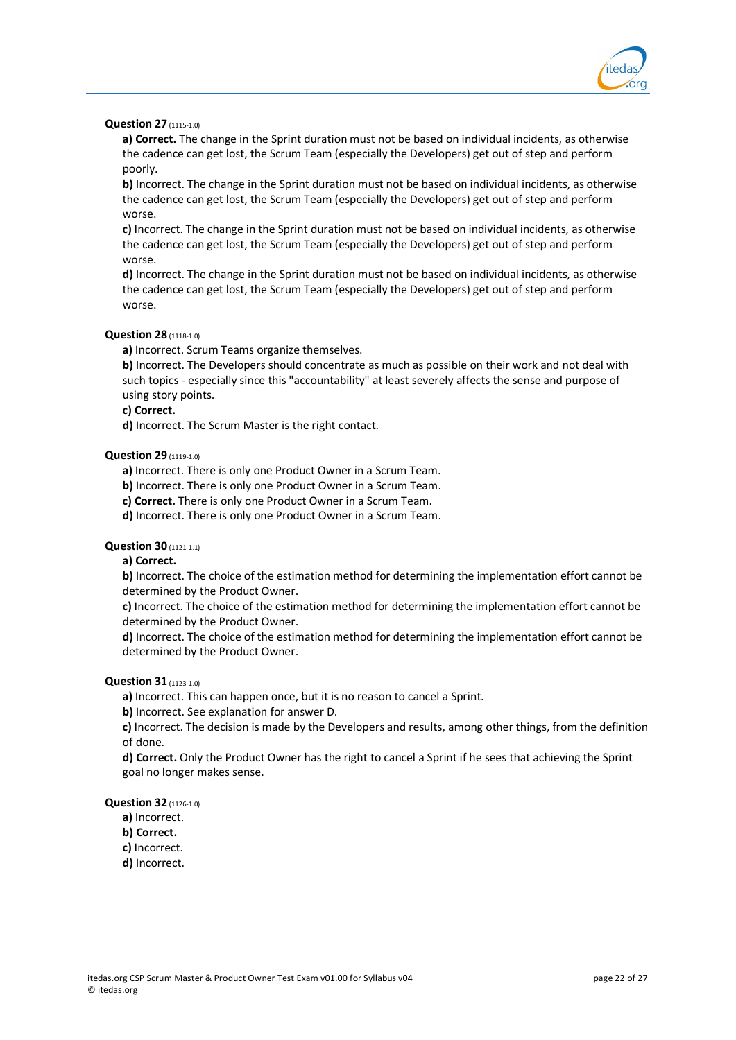

## **Question 27** (1115-1.0)

**a) Correct.** The change in the Sprint duration must not be based on individual incidents, as otherwise the cadence can get lost, the Scrum Team (especially the Developers) get out of step and perform poorly.

**b)** Incorrect. The change in the Sprint duration must not be based on individual incidents, as otherwise the cadence can get lost, the Scrum Team (especially the Developers) get out of step and perform worse.

**c)** Incorrect. The change in the Sprint duration must not be based on individual incidents, as otherwise the cadence can get lost, the Scrum Team (especially the Developers) get out of step and perform worse.

**d)** Incorrect. The change in the Sprint duration must not be based on individual incidents, as otherwise the cadence can get lost, the Scrum Team (especially the Developers) get out of step and perform worse.

## **Question 28** (1118-1.0)

**a)** Incorrect. Scrum Teams organize themselves.

**b)** Incorrect. The Developers should concentrate as much as possible on their work and not deal with such topics - especially since this "accountability" at least severely affects the sense and purpose of using story points.

## **c) Correct.**

**d)** Incorrect. The Scrum Master is the right contact.

## **Question 29** (1119-1.0)

**a)** Incorrect. There is only one Product Owner in a Scrum Team.

**b)** Incorrect. There is only one Product Owner in a Scrum Team.

**c) Correct.** There is only one Product Owner in a Scrum Team.

**d)** Incorrect. There is only one Product Owner in a Scrum Team.

## **Question 30** (1121-1.1)

## **a) Correct.**

**b)** Incorrect. The choice of the estimation method for determining the implementation effort cannot be determined by the Product Owner.

**c)** Incorrect. The choice of the estimation method for determining the implementation effort cannot be determined by the Product Owner.

**d)** Incorrect. The choice of the estimation method for determining the implementation effort cannot be determined by the Product Owner.

## **Question 31** (1123-1.0)

**a)** Incorrect. This can happen once, but it is no reason to cancel a Sprint.

**b)** Incorrect. See explanation for answer D.

**c)** Incorrect. The decision is made by the Developers and results, among other things, from the definition of done.

**d) Correct.** Only the Product Owner has the right to cancel a Sprint if he sees that achieving the Sprint goal no longer makes sense.

## **Question 32** (1126-1.0)

- **a)** Incorrect.
- **b) Correct.**
- **c)** Incorrect.
- **d)** Incorrect.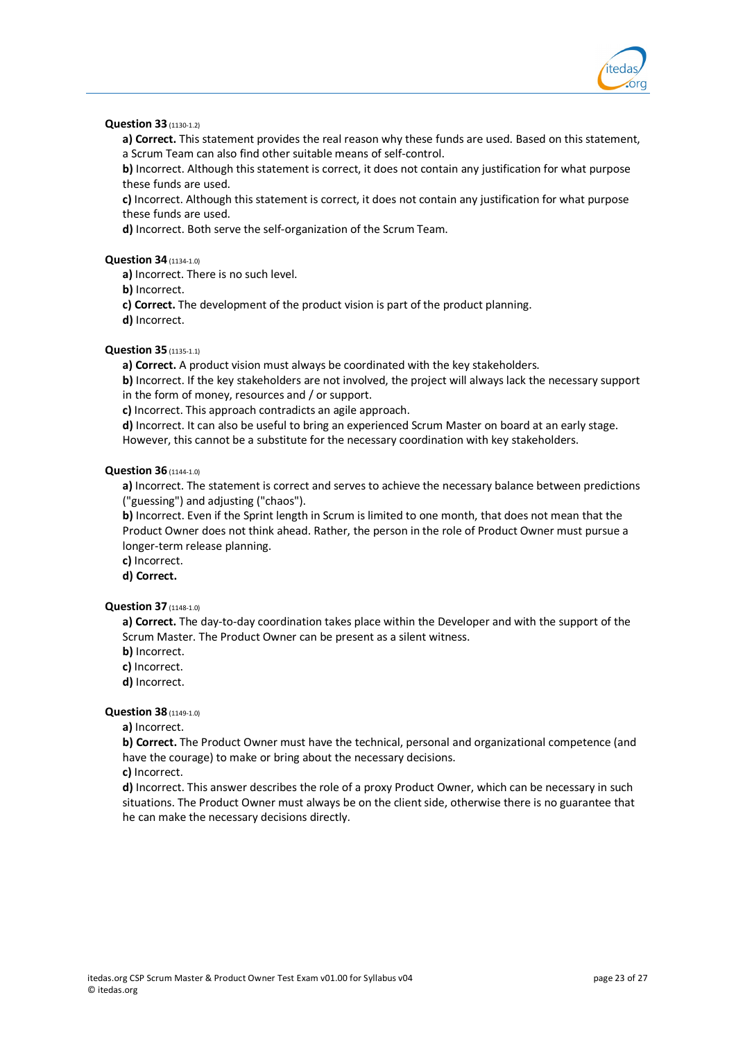

**Question 33** (1130-1.2)

**a) Correct.** This statement provides the real reason why these funds are used. Based on this statement, a Scrum Team can also find other suitable means of self-control.

**b)** Incorrect. Although this statement is correct, it does not contain any justification for what purpose these funds are used.

**c)** Incorrect. Although this statement is correct, it does not contain any justification for what purpose these funds are used.

**d)** Incorrect. Both serve the self-organization of the Scrum Team.

**Question 34** (1134-1.0)

**a)** Incorrect. There is no such level.

**b)** Incorrect.

**c) Correct.** The development of the product vision is part of the product planning.

**d)** Incorrect.

## **Question 35** (1135-1.1)

**a) Correct.** A product vision must always be coordinated with the key stakeholders.

**b)** Incorrect. If the key stakeholders are not involved, the project will always lack the necessary support in the form of money, resources and / or support.

**c)** Incorrect. This approach contradicts an agile approach.

**d)** Incorrect. It can also be useful to bring an experienced Scrum Master on board at an early stage. However, this cannot be a substitute for the necessary coordination with key stakeholders.

#### **Question 36** (1144-1.0)

**a)** Incorrect. The statement is correct and serves to achieve the necessary balance between predictions ("guessing") and adjusting ("chaos").

**b)** Incorrect. Even if the Sprint length in Scrum is limited to one month, that does not mean that the Product Owner does not think ahead. Rather, the person in the role of Product Owner must pursue a longer-term release planning.

**c)** Incorrect.

**d) Correct.**

## **Question 37** (1148-1.0)

**a) Correct.** The day-to-day coordination takes place within the Developer and with the support of the Scrum Master. The Product Owner can be present as a silent witness.

**b)** Incorrect.

**c)** Incorrect.

**d)** Incorrect.

## **Question 38** (1149-1.0)

**a)** Incorrect.

**b) Correct.** The Product Owner must have the technical, personal and organizational competence (and have the courage) to make or bring about the necessary decisions.

**c)** Incorrect.

**d)** Incorrect. This answer describes the role of a proxy Product Owner, which can be necessary in such situations. The Product Owner must always be on the client side, otherwise there is no guarantee that he can make the necessary decisions directly.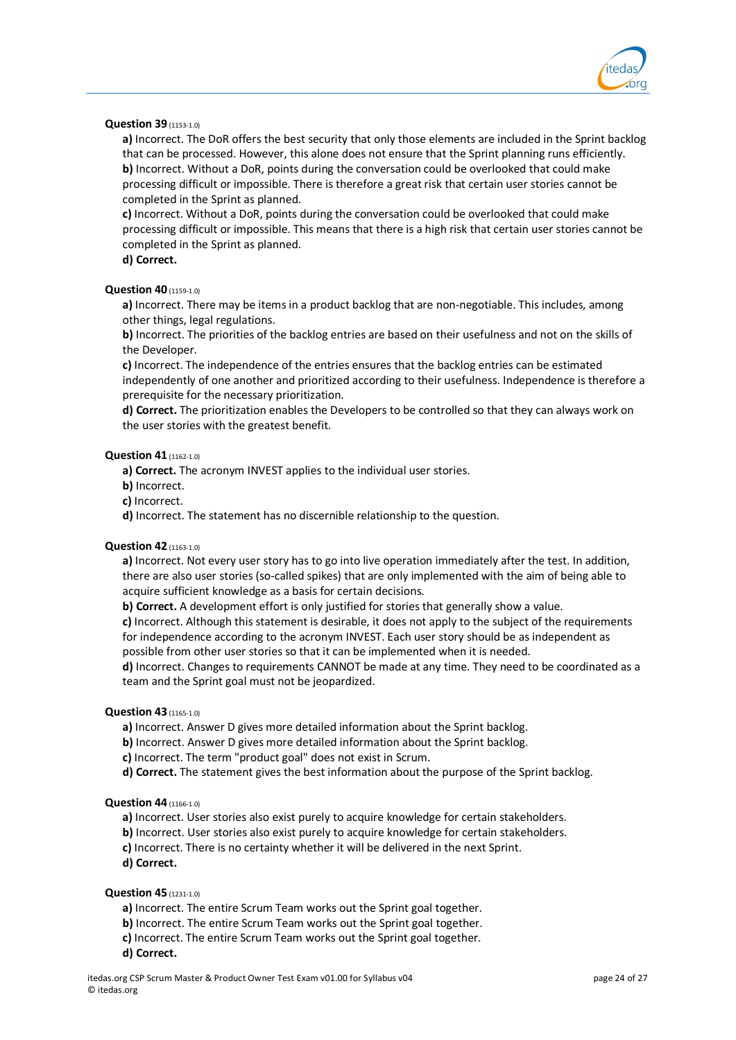

## **Question 39** (1153-1.0)

**a)** Incorrect. The DoR offers the best security that only those elements are included in the Sprint backlog that can be processed. However, this alone does not ensure that the Sprint planning runs efficiently. **b)** Incorrect. Without a DoR, points during the conversation could be overlooked that could make processing difficult or impossible. There is therefore a great risk that certain user stories cannot be completed in the Sprint as planned.

**c)** Incorrect. Without a DoR, points during the conversation could be overlooked that could make processing difficult or impossible. This means that there is a high risk that certain user stories cannot be completed in the Sprint as planned.

**d) Correct.**

## **Question 40** (1159-1.0)

**a)** Incorrect. There may be items in a product backlog that are non-negotiable. This includes, among other things, legal regulations.

**b)** Incorrect. The priorities of the backlog entries are based on their usefulness and not on the skills of the Developer.

**c)** Incorrect. The independence of the entries ensures that the backlog entries can be estimated independently of one another and prioritized according to their usefulness. Independence is therefore a prerequisite for the necessary prioritization.

**d) Correct.** The prioritization enables the Developers to be controlled so that they can always work on the user stories with the greatest benefit.

## **Question 41** (1162-1.0)

**a) Correct.** The acronym INVEST applies to the individual user stories.

**b)** Incorrect.

- **c)** Incorrect.
- **d)** Incorrect. The statement has no discernible relationship to the question.

## **Question 42** (1163-1.0)

**a)** Incorrect. Not every user story has to go into live operation immediately after the test. In addition, there are also user stories (so-called spikes) that are only implemented with the aim of being able to acquire sufficient knowledge as a basis for certain decisions.

**b) Correct.** A development effort is only justified for stories that generally show a value.

**c)** Incorrect. Although this statement is desirable, it does not apply to the subject of the requirements for independence according to the acronym INVEST. Each user story should be as independent as possible from other user stories so that it can be implemented when it is needed.

**d)** Incorrect. Changes to requirements CANNOT be made at any time. They need to be coordinated as a team and the Sprint goal must not be jeopardized.

## **Question 43** (1165-1.0)

**a)** Incorrect. Answer D gives more detailed information about the Sprint backlog.

- **b)** Incorrect. Answer D gives more detailed information about the Sprint backlog.
- **c)** Incorrect. The term "product goal" does not exist in Scrum.
- **d) Correct.** The statement gives the best information about the purpose of the Sprint backlog.

## **Question 44** (1166-1.0)

**a)** Incorrect. User stories also exist purely to acquire knowledge for certain stakeholders.

- **b)** Incorrect. User stories also exist purely to acquire knowledge for certain stakeholders.
- **c)** Incorrect. There is no certainty whether it will be delivered in the next Sprint.
- **d) Correct.**

## **Question 45** (1231-1.0)

**a)** Incorrect. The entire Scrum Team works out the Sprint goal together.

- **b)** Incorrect. The entire Scrum Team works out the Sprint goal together.
- **c)** Incorrect. The entire Scrum Team works out the Sprint goal together.
- **d) Correct.**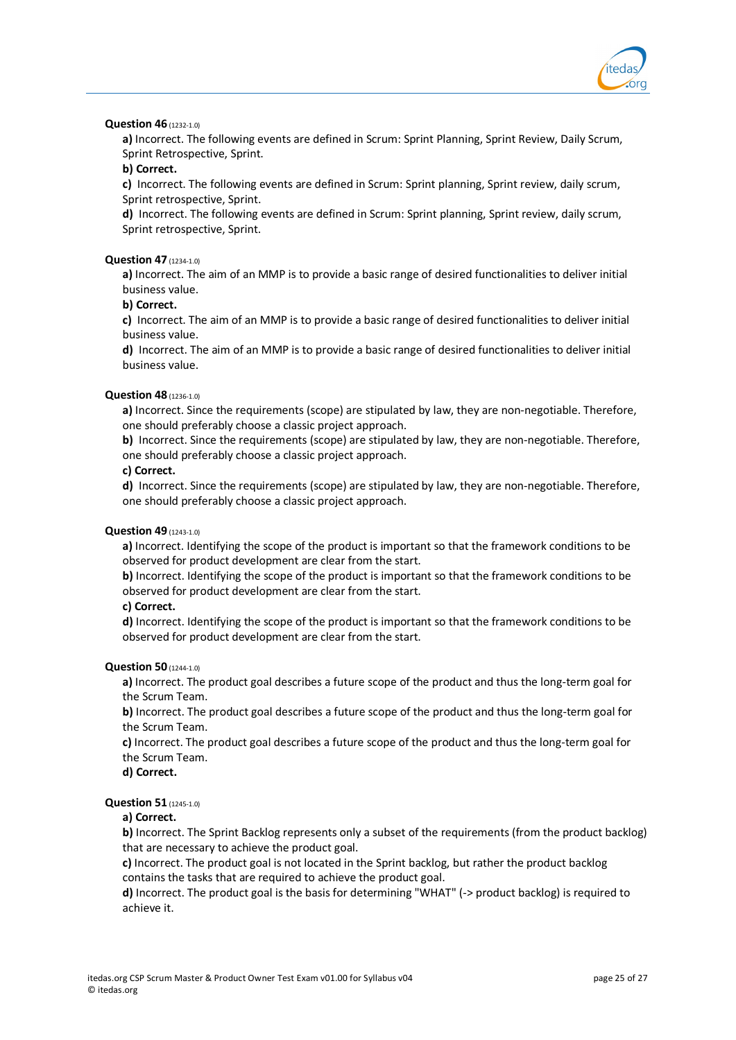

## **Question 46** (1232-1.0)

**a)** Incorrect. The following events are defined in Scrum: Sprint Planning, Sprint Review, Daily Scrum, Sprint Retrospective, Sprint.

## **b) Correct.**

**c)** Incorrect. The following events are defined in Scrum: Sprint planning, Sprint review, daily scrum, Sprint retrospective, Sprint.

**d)** Incorrect. The following events are defined in Scrum: Sprint planning, Sprint review, daily scrum, Sprint retrospective, Sprint.

## **Question 47** (1234-1.0)

**a)** Incorrect. The aim of an MMP is to provide a basic range of desired functionalities to deliver initial business value.

## **b) Correct.**

**c)** Incorrect. The aim of an MMP is to provide a basic range of desired functionalities to deliver initial business value.

**d)** Incorrect. The aim of an MMP is to provide a basic range of desired functionalities to deliver initial business value.

## **Question 48** (1236-1.0)

**a)** Incorrect. Since the requirements (scope) are stipulated by law, they are non-negotiable. Therefore, one should preferably choose a classic project approach.

**b)** Incorrect. Since the requirements (scope) are stipulated by law, they are non-negotiable. Therefore, one should preferably choose a classic project approach.

## **c) Correct.**

**d)** Incorrect. Since the requirements (scope) are stipulated by law, they are non-negotiable. Therefore, one should preferably choose a classic project approach.

## **Question 49** (1243-1.0)

**a)** Incorrect. Identifying the scope of the product is important so that the framework conditions to be observed for product development are clear from the start.

**b)** Incorrect. Identifying the scope of the product is important so that the framework conditions to be observed for product development are clear from the start.

## **c) Correct.**

**d)** Incorrect. Identifying the scope of the product is important so that the framework conditions to be observed for product development are clear from the start.

## **Question 50** (1244-1.0)

**a)** Incorrect. The product goal describes a future scope of the product and thus the long-term goal for the Scrum Team.

**b)** Incorrect. The product goal describes a future scope of the product and thus the long-term goal for the Scrum Team.

**c)** Incorrect. The product goal describes a future scope of the product and thus the long-term goal for the Scrum Team.

**d) Correct.**

## **Question 51** (1245-1.0)

## **a) Correct.**

**b)** Incorrect. The Sprint Backlog represents only a subset of the requirements (from the product backlog) that are necessary to achieve the product goal.

**c)** Incorrect. The product goal is not located in the Sprint backlog, but rather the product backlog contains the tasks that are required to achieve the product goal.

**d)** Incorrect. The product goal is the basis for determining "WHAT" (-> product backlog) is required to achieve it.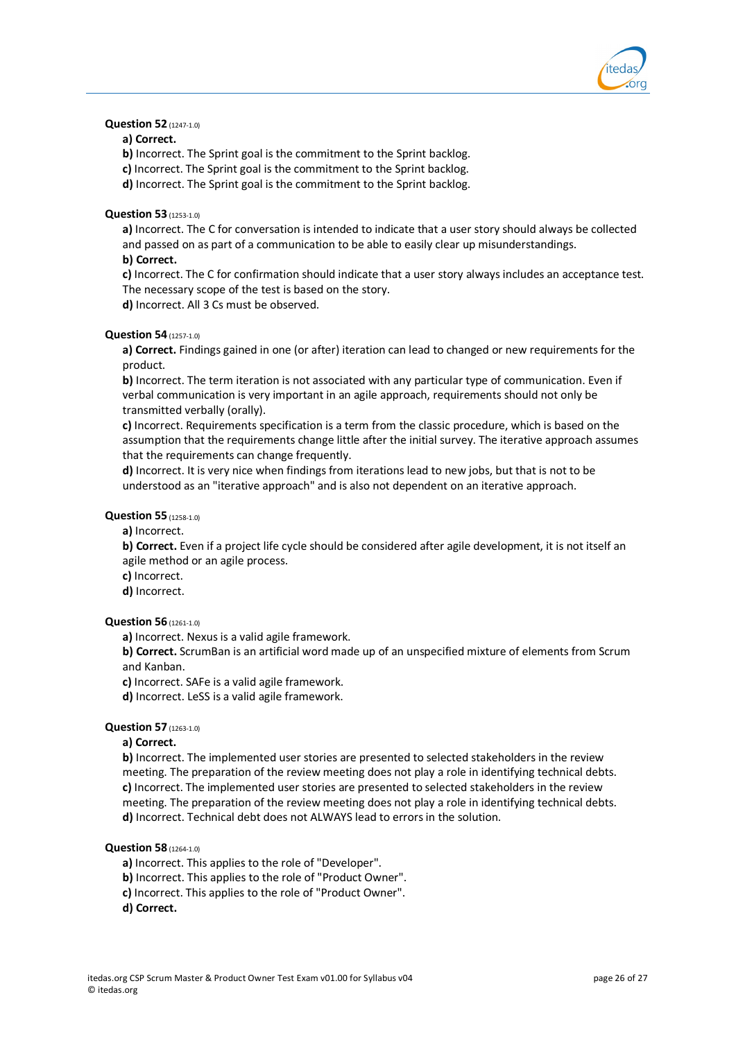

## **Question 52** (1247-1.0)

## **a) Correct.**

**b)** Incorrect. The Sprint goal is the commitment to the Sprint backlog.

**c)** Incorrect. The Sprint goal is the commitment to the Sprint backlog.

**d)** Incorrect. The Sprint goal is the commitment to the Sprint backlog.

## **Question 53** (1253-1.0)

**a)** Incorrect. The C for conversation is intended to indicate that a user story should always be collected and passed on as part of a communication to be able to easily clear up misunderstandings.

## **b) Correct.**

**c)** Incorrect. The C for confirmation should indicate that a user story always includes an acceptance test. The necessary scope of the test is based on the story.

**d)** Incorrect. All 3 Cs must be observed.

## **Question 54** (1257-1.0)

**a) Correct.** Findings gained in one (or after) iteration can lead to changed or new requirements for the product.

**b)** Incorrect. The term iteration is not associated with any particular type of communication. Even if verbal communication is very important in an agile approach, requirements should not only be transmitted verbally (orally).

**c)** Incorrect. Requirements specification is a term from the classic procedure, which is based on the assumption that the requirements change little after the initial survey. The iterative approach assumes that the requirements can change frequently.

**d)** Incorrect. It is very nice when findings from iterations lead to new jobs, but that is not to be understood as an "iterative approach" and is also not dependent on an iterative approach.

## **Question 55** (1258-1.0)

**a)** Incorrect.

**b) Correct.** Even if a project life cycle should be considered after agile development, it is not itself an agile method or an agile process.

**c)** Incorrect.

**d)** Incorrect.

## **Question 56** (1261-1.0)

**a)** Incorrect. Nexus is a valid agile framework.

**b) Correct.** ScrumBan is an artificial word made up of an unspecified mixture of elements from Scrum and Kanban.

**c)** Incorrect. SAFe is a valid agile framework.

**d)** Incorrect. LeSS is a valid agile framework.

## **Question 57** (1263-1.0)

**a) Correct.**

**b)** Incorrect. The implemented user stories are presented to selected stakeholders in the review meeting. The preparation of the review meeting does not play a role in identifying technical debts. **c)** Incorrect. The implemented user stories are presented to selected stakeholders in the review meeting. The preparation of the review meeting does not play a role in identifying technical debts. **d)** Incorrect. Technical debt does not ALWAYS lead to errors in the solution.

## **Question 58** (1264-1.0)

**a)** Incorrect. This applies to the role of "Developer".

- **b)** Incorrect. This applies to the role of "Product Owner".
- **c)** Incorrect. This applies to the role of "Product Owner".
- **d) Correct.**